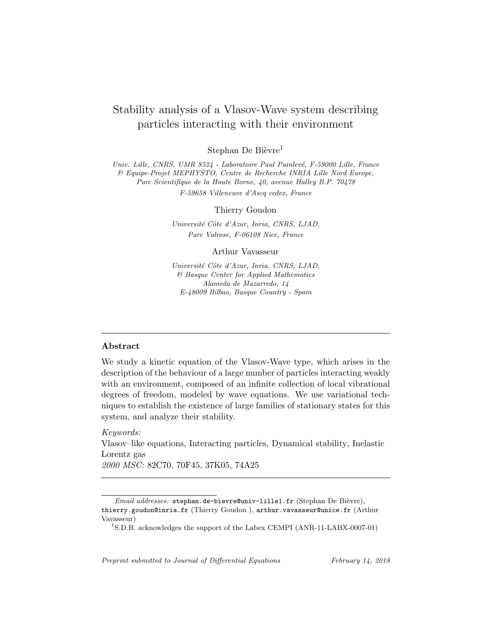# Stability analysis of a Vlasov-Wave system describing particles interacting with their environment

Stephan De Bièvre<sup>1</sup>

Univ. Lille, CNRS, UMR 8524 - Laboratoire Paul Painlevé, F-59000 Lille, France & Equipe-Projet MEPHYSTO, Centre de Recherche INRIA Lille Nord Europe, Parc Scientifique de la Haute Borne, 40, avenue Halley B.P. 70478 F-59658 Villeneuve d'Ascq cedex, France

Thierry Goudon

Université Côte d'Azur, Inria, CNRS, LJAD, Parc Valrose, F-06108 Nice, France

Arthur Vavasseur

Université Côte d'Azur, Inria, CNRS, LJAD, & Basque Center for Applied Mathematics Alameda de Mazarredo, 14 E-48009 Bilbao, Basque Country - Spain

### Abstract

We study a kinetic equation of the Vlasov-Wave type, which arises in the description of the behaviour of a large number of particles interacting weakly with an environment, composed of an infinite collection of local vibrational degrees of freedom, modeled by wave equations. We use variational techniques to establish the existence of large families of stationary states for this system, and analyze their stability.

Keywords:

Vlasov–like equations, Interacting particles, Dynamical stability, Inelastic Lorentz gas

2000 MSC: 82C70, 70F45, 37K05, 74A25

Email addresses: stephan.de-bievre@univ-lille1.fr (Stephan De Bièvre), thierry.goudon@inria.fr (Thierry Goudon ), arthur.vavasseur@unice.fr (Arthur Vavasseur)

Preprint submitted to Journal of Differential Equations February 14, 2018

<sup>&</sup>lt;sup>1</sup>S.D.B. acknowledges the support of the Labex CEMPI (ANR-11-LABX-0007-01)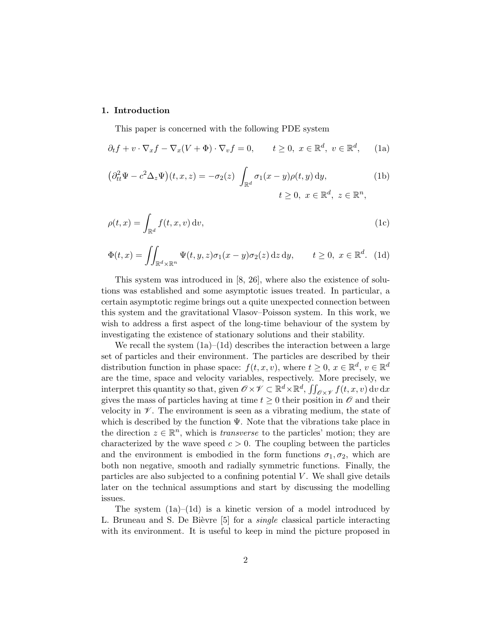## 1. Introduction

This paper is concerned with the following PDE system

$$
\partial_t f + v \cdot \nabla_x f - \nabla_x (V + \Phi) \cdot \nabla_v f = 0, \qquad t \ge 0, \ x \in \mathbb{R}^d, \ v \in \mathbb{R}^d, \tag{1a}
$$

$$
\left(\partial_{tt}^2 \Psi - c^2 \Delta_z \Psi\right)(t, x, z) = -\sigma_2(z) \int_{\mathbb{R}^d} \sigma_1(x - y) \rho(t, y) \, dy, \tag{1b}
$$
\n
$$
t \ge 0, \ x \in \mathbb{R}^d, \ z \in \mathbb{R}^n,
$$

$$
\rho(t,x) = \int_{\mathbb{R}^d} f(t,x,v) \, \mathrm{d}v,\tag{1c}
$$

$$
\Phi(t,x) = \iint_{\mathbb{R}^d \times \mathbb{R}^n} \Psi(t,y,z) \sigma_1(x-y) \sigma_2(z) \,dz \,dy, \qquad t \ge 0, \ x \in \mathbb{R}^d. \tag{1d}
$$

This system was introduced in [8, 26], where also the existence of solutions was established and some asymptotic issues treated. In particular, a certain asymptotic regime brings out a quite unexpected connection between this system and the gravitational Vlasov–Poisson system. In this work, we wish to address a first aspect of the long-time behaviour of the system by investigating the existence of stationary solutions and their stability.

We recall the system  $(1a)–(1d)$  describes the interaction between a large set of particles and their environment. The particles are described by their distribution function in phase space:  $f(t, x, v)$ , where  $t \geq 0$ ,  $x \in \mathbb{R}^d$ ,  $v \in \mathbb{R}^d$ are the time, space and velocity variables, respectively. More precisely, we interpret this quantity so that, given  $\mathscr{O} \times \mathscr{V} \subset \mathbb{R}^d \times \mathbb{R}^d$ ,  $\iint_{\mathscr{O} \times \mathscr{V}} f(t, x, v) dv dx$ gives the mass of particles having at time  $t \geq 0$  their position in  $\mathscr O$  and their velocity in  $\mathscr V$ . The environment is seen as a vibrating medium, the state of which is described by the function  $\Psi$ . Note that the vibrations take place in the direction  $z \in \mathbb{R}^n$ , which is *transverse* to the particles' motion; they are characterized by the wave speed  $c > 0$ . The coupling between the particles and the environment is embodied in the form functions  $\sigma_1, \sigma_2$ , which are both non negative, smooth and radially symmetric functions. Finally, the particles are also subjected to a confining potential  $V$ . We shall give details later on the technical assumptions and start by discussing the modelling issues.

The system  $(1a)–(1d)$  is a kinetic version of a model introduced by L. Bruneau and S. De Bièvre  $[5]$  for a *single* classical particle interacting with its environment. It is useful to keep in mind the picture proposed in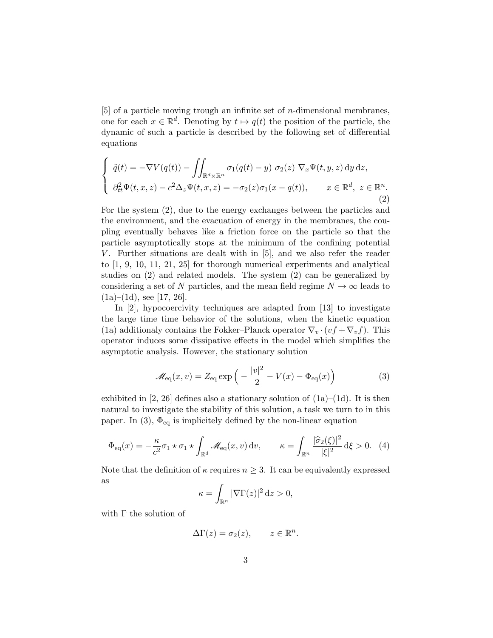[5] of a particle moving trough an infinite set of n-dimensional membranes, one for each  $x \in \mathbb{R}^d$ . Denoting by  $t \mapsto q(t)$  the position of the particle, the dynamic of such a particle is described by the following set of differential equations

$$
\begin{cases}\n\ddot{q}(t) = -\nabla V(q(t)) - \iint_{\mathbb{R}^d \times \mathbb{R}^n} \sigma_1(q(t) - y) \sigma_2(z) \nabla_x \Psi(t, y, z) \, \mathrm{d}y \, \mathrm{d}z, \\
\partial_{tt}^2 \Psi(t, x, z) - c^2 \Delta_z \Psi(t, x, z) = -\sigma_2(z) \sigma_1(x - q(t)), \quad x \in \mathbb{R}^d, \ z \in \mathbb{R}^n.\n\end{cases}
$$
\n(2)

For the system (2), due to the energy exchanges between the particles and the environment, and the evacuation of energy in the membranes, the coupling eventually behaves like a friction force on the particle so that the particle asymptotically stops at the minimum of the confining potential V. Further situations are dealt with in [5], and we also refer the reader to [1, 9, 10, 11, 21, 25] for thorough numerical experiments and analytical studies on (2) and related models. The system (2) can be generalized by considering a set of N particles, and the mean field regime  $N \to \infty$  leads to  $(1a)–(1d)$ , see [17, 26].

In [2], hypocoercivity techniques are adapted from [13] to investigate the large time time behavior of the solutions, when the kinetic equation (1a) additionaly contains the Fokker–Planck operator  $\nabla_v \cdot (vf + \nabla_v f)$ . This operator induces some dissipative effects in the model which simplifies the asymptotic analysis. However, the stationary solution

$$
\mathcal{M}_{\text{eq}}(x,v) = Z_{\text{eq}} \exp\left(-\frac{|v|^2}{2} - V(x) - \Phi_{\text{eq}}(x)\right) \tag{3}
$$

exhibited in  $[2, 26]$  defines also a stationary solution of  $(1a)–(1d)$ . It is then natural to investigate the stability of this solution, a task we turn to in this paper. In (3),  $\Phi_{\text{eq}}$  is implicitely defined by the non-linear equation

$$
\Phi_{\text{eq}}(x) = -\frac{\kappa}{c^2} \sigma_1 \star \sigma_1 \star \int_{\mathbb{R}^d} \mathcal{M}_{\text{eq}}(x, v) \, \mathrm{d}v, \qquad \kappa = \int_{\mathbb{R}^n} \frac{|\hat{\sigma}_2(\xi)|^2}{|\xi|^2} \, \mathrm{d}\xi > 0. \tag{4}
$$

Note that the definition of  $\kappa$  requires  $n \geq 3$ . It can be equivalently expressed as

$$
\kappa = \int_{\mathbb{R}^n} |\nabla \Gamma(z)|^2 \, \mathrm{d}z > 0,
$$

with Γ the solution of

$$
\Delta\Gamma(z) = \sigma_2(z), \qquad z \in \mathbb{R}^n.
$$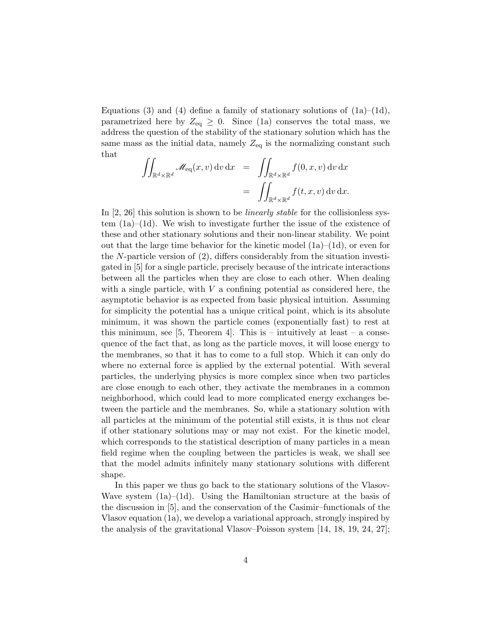Equations (3) and (4) define a family of stationary solutions of  $(1a)$ – $(1d)$ , parametrized here by  $Z_{\text{eq}} \geq 0$ . Since (1a) conserves the total mass, we address the question of the stability of the stationary solution which has the same mass as the initial data, namely  $Z_{eq}$  is the normalizing constant such that

$$
\iint_{\mathbb{R}^d \times \mathbb{R}^d} \mathcal{M}_{\text{eq}}(x, v) dv dx = \iint_{\mathbb{R}^d \times \mathbb{R}^d} f(0, x, v) dv dx \n= \iint_{\mathbb{R}^d \times \mathbb{R}^d} f(t, x, v) dv dx.
$$

In  $[2, 26]$  this solution is shown to be *linearly stable* for the collisionless system (1a)–(1d). We wish to investigate further the issue of the existence of these and other stationary solutions and their non-linear stability. We point out that the large time behavior for the kinetic model  $(1a)–(1d)$ , or even for the N-particle version of (2), differs considerably from the situation investigated in [5] for a single particle, precisely because of the intricate interactions between all the particles when they are close to each other. When dealing with a single particle, with  $V$  a confining potential as considered here, the asymptotic behavior is as expected from basic physical intuition. Assuming for simplicity the potential has a unique critical point, which is its absolute minimum, it was shown the particle comes (exponentially fast) to rest at this minimum, see [5, Theorem 4]. This is – intuitively at least – a consequence of the fact that, as long as the particle moves, it will loose energy to the membranes, so that it has to come to a full stop. Which it can only do where no external force is applied by the external potential. With several particles, the underlying physics is more complex since when two particles are close enough to each other, they activate the membranes in a common neighborhood, which could lead to more complicated energy exchanges between the particle and the membranes. So, while a stationary solution with all particles at the minimum of the potential still exists, it is thus not clear if other stationary solutions may or may not exist. For the kinetic model, which corresponds to the statistical description of many particles in a mean field regime when the coupling between the particles is weak, we shall see that the model admits infinitely many stationary solutions with different shape.

In this paper we thus go back to the stationary solutions of the Vlasov-Wave system  $(1a)–(1d)$ . Using the Hamiltonian structure at the basis of the discussion in [5], and the conservation of the Casimir–functionals of the Vlasov equation (1a), we develop a variational approach, strongly inspired by the analysis of the gravitational Vlasov–Poisson system [14, 18, 19, 24, 27];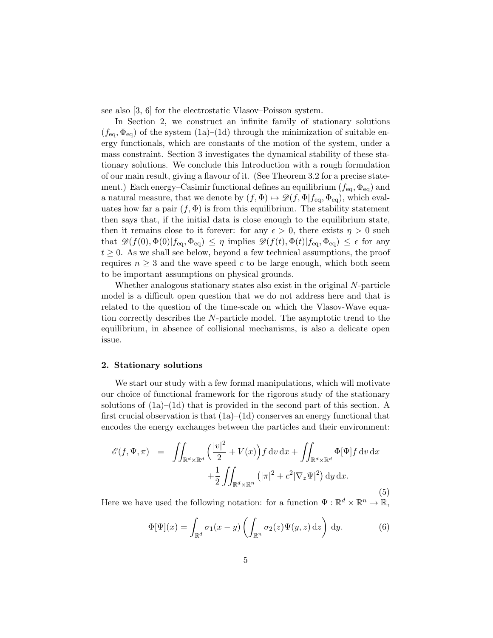see also [3, 6] for the electrostatic Vlasov–Poisson system.

In Section 2, we construct an infinite family of stationary solutions  $(f_{\text{eq}}, \Phi_{\text{eq}})$  of the system  $(1a)–(1d)$  through the minimization of suitable energy functionals, which are constants of the motion of the system, under a mass constraint. Section 3 investigates the dynamical stability of these stationary solutions. We conclude this Introduction with a rough formulation of our main result, giving a flavour of it. (See Theorem 3.2 for a precise statement.) Each energy–Casimir functional defines an equilibrium  $(f_{\text{eq}}, \Phi_{\text{eq}})$  and a natural measure, that we denote by  $(f, \Phi) \mapsto \mathscr{D}(f, \Phi | f_{\text{eq}}, \Phi_{\text{eq}})$ , which evaluates how far a pair  $(f, \Phi)$  is from this equilibrium. The stability statement then says that, if the initial data is close enough to the equilibrium state, then it remains close to it forever: for any  $\epsilon > 0$ , there exists  $\eta > 0$  such that  $\mathscr{D}(f(0), \Phi(0)|f_{\text{eq}}, \Phi_{\text{eq}}) \leq \eta$  implies  $\mathscr{D}(f(t), \Phi(t)|f_{\text{eq}}, \Phi_{\text{eq}}) \leq \epsilon$  for any  $t \geq 0$ . As we shall see below, beyond a few technical assumptions, the proof requires  $n \geq 3$  and the wave speed c to be large enough, which both seem to be important assumptions on physical grounds.

Whether analogous stationary states also exist in the original N-particle model is a difficult open question that we do not address here and that is related to the question of the time-scale on which the Vlasov-Wave equation correctly describes the N-particle model. The asymptotic trend to the equilibrium, in absence of collisional mechanisms, is also a delicate open issue.

#### 2. Stationary solutions

We start our study with a few formal manipulations, which will motivate our choice of functional framework for the rigorous study of the stationary solutions of (1a)–(1d) that is provided in the second part of this section. A first crucial observation is that  $(1a)–(1d)$  conserves an energy functional that encodes the energy exchanges between the particles and their environment:

$$
\mathcal{E}(f, \Psi, \pi) = \iint_{\mathbb{R}^d \times \mathbb{R}^d} \left( \frac{|v|^2}{2} + V(x) \right) f \, dv \, dx + \iint_{\mathbb{R}^d \times \mathbb{R}^d} \Phi[\Psi] f \, dv \, dx + \frac{1}{2} \iint_{\mathbb{R}^d \times \mathbb{R}^n} \left( |\pi|^2 + c^2 |\nabla_z \Psi|^2 \right) dy \, dx.
$$
\n(5)

Here we have used the following notation: for a function  $\Psi : \mathbb{R}^d \times \mathbb{R}^n \to \mathbb{R}$ ,

$$
\Phi[\Psi](x) = \int_{\mathbb{R}^d} \sigma_1(x - y) \left( \int_{\mathbb{R}^n} \sigma_2(z) \Psi(y, z) \, \mathrm{d}z \right) \, \mathrm{d}y. \tag{6}
$$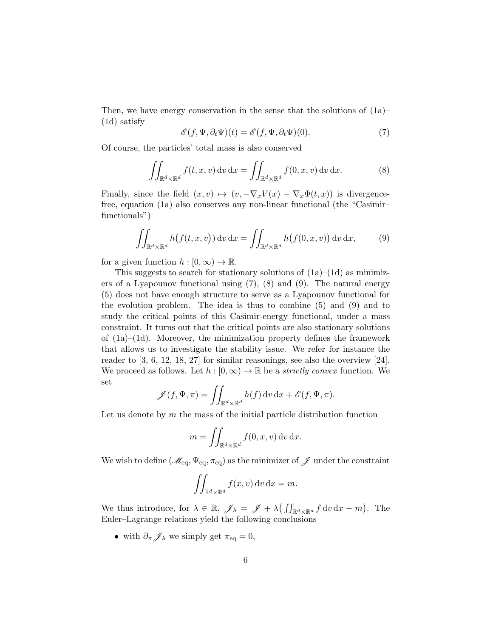Then, we have energy conservation in the sense that the solutions of  $(1a)$ – (1d) satisfy

$$
\mathscr{E}(f, \Psi, \partial_t \Psi)(t) = \mathscr{E}(f, \Psi, \partial_t \Psi)(0). \tag{7}
$$

Of course, the particles' total mass is also conserved

$$
\iint_{\mathbb{R}^d \times \mathbb{R}^d} f(t, x, v) dv dx = \iint_{\mathbb{R}^d \times \mathbb{R}^d} f(0, x, v) dv dx.
$$
 (8)

Finally, since the field  $(x, v) \mapsto (v, -\nabla_x V(x) - \nabla_x \Phi(t, x))$  is divergencefree, equation (1a) also conserves any non-linear functional (the "Casimir– functionals")

$$
\iint_{\mathbb{R}^d \times \mathbb{R}^d} h(f(t, x, v)) dv dx = \iint_{\mathbb{R}^d \times \mathbb{R}^d} h(f(0, x, v)) dv dx, \tag{9}
$$

for a given function  $h : [0, \infty) \to \mathbb{R}$ .

This suggests to search for stationary solutions of  $(1a)–(1d)$  as minimizers of a Lyapounov functional using (7), (8) and (9). The natural energy (5) does not have enough structure to serve as a Lyapounov functional for the evolution problem. The idea is thus to combine (5) and (9) and to study the critical points of this Casimir-energy functional, under a mass constraint. It turns out that the critical points are also stationary solutions of  $(1a)$ – $(1d)$ . Moreover, the minimization property defines the framework that allows us to investigate the stability issue. We refer for instance the reader to [3, 6, 12, 18, 27] for similar reasonings, see also the overview [24]. We proceed as follows. Let  $h : [0, \infty) \to \mathbb{R}$  be a *strictly convex* function. We set

$$
\mathscr{J}(f, \Psi, \pi) = \iint_{\mathbb{R}^d \times \mathbb{R}^d} h(f) \, dv \, dx + \mathscr{E}(f, \Psi, \pi).
$$

Let us denote by  $m$  the mass of the initial particle distribution function

$$
m = \iint_{\mathbb{R}^d \times \mathbb{R}^d} f(0, x, v) \, dv \, dx.
$$

We wish to define  $(\mathscr{M}_{\text{eq}}, \Psi_{\text{eq}}, \pi_{\text{eq}})$  as the minimizer of  $\mathscr{J}$  under the constraint

$$
\iint_{\mathbb{R}^d \times \mathbb{R}^d} f(x, v) \, dv \, dx = m.
$$

We thus introduce, for  $\lambda \in \mathbb{R}$ ,  $\mathscr{J}_{\lambda} = \mathscr{J} + \lambda \left( \iint_{\mathbb{R}^d \times \mathbb{R}^d} f \, dv \, dx - m \right)$ . The Euler–Lagrange relations yield the following conclusions

• with  $\partial_{\pi} \mathscr{J}_{\lambda}$  we simply get  $\pi_{\text{eq}} = 0$ ,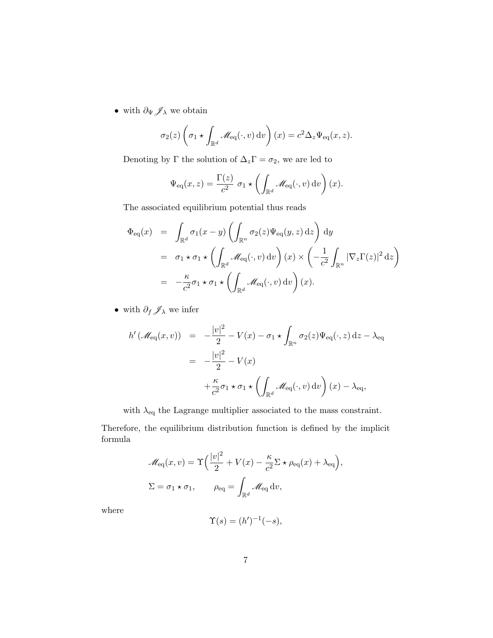$\bullet\,$  with  $\partial_\Psi \mathscr{J}_\lambda$  we obtain

$$
\sigma_2(z) \left( \sigma_1 \star \int_{\mathbb{R}^d} \mathscr{M}_{\text{eq}}(\cdot, v) \, dv \right)(x) = c^2 \Delta_z \Psi_{\text{eq}}(x, z).
$$

Denoting by  $\Gamma$  the solution of  $\Delta_z\Gamma=\sigma_2,$  we are led to

$$
\Psi_{\text{eq}}(x,z) = \frac{\Gamma(z)}{c^2} \sigma_1 \star \left( \int_{\mathbb{R}^d} \mathscr{M}_{\text{eq}}(\cdot,v) \, dv \right)(x).
$$

The associated equilibrium potential thus reads

$$
\Phi_{\text{eq}}(x) = \int_{\mathbb{R}^d} \sigma_1(x - y) \left( \int_{\mathbb{R}^n} \sigma_2(z) \Psi_{\text{eq}}(y, z) dz \right) dy
$$
  
\n
$$
= \sigma_1 \star \sigma_1 \star \left( \int_{\mathbb{R}^d} \mathcal{M}_{\text{eq}}(\cdot, v) dv \right) (x) \times \left( -\frac{1}{c^2} \int_{\mathbb{R}^n} |\nabla_z \Gamma(z)|^2 dz \right)
$$
  
\n
$$
= -\frac{\kappa}{c^2} \sigma_1 \star \sigma_1 \star \left( \int_{\mathbb{R}^d} \mathcal{M}_{\text{eq}}(\cdot, v) dv \right) (x).
$$

 $\bullet\,$  with  $\partial_f\mathscr{J}_\lambda$  we infer

$$
h'(\mathcal{M}_{\text{eq}}(x,v)) = -\frac{|v|^2}{2} - V(x) - \sigma_1 \star \int_{\mathbb{R}^n} \sigma_2(z) \Psi_{\text{eq}}(\cdot, z) dz - \lambda_{\text{eq}}
$$

$$
= -\frac{|v|^2}{2} - V(x)
$$

$$
+ \frac{\kappa}{c^2} \sigma_1 \star \sigma_1 \star \left( \int_{\mathbb{R}^d} \mathcal{M}_{\text{eq}}(\cdot, v) dv \right) (x) - \lambda_{\text{eq}},
$$

with  $\lambda_{\rm eq}$  the Lagrange multiplier associated to the mass constraint.

Therefore, the equilibrium distribution function is defined by the implicit formula

$$
\mathcal{M}_{\text{eq}}(x, v) = \Upsilon \left( \frac{|v|^2}{2} + V(x) - \frac{\kappa}{c^2} \Sigma \star \rho_{\text{eq}}(x) + \lambda_{\text{eq}} \right),
$$
  

$$
\Sigma = \sigma_1 \star \sigma_1, \qquad \rho_{\text{eq}} = \int_{\mathbb{R}^d} \mathcal{M}_{\text{eq}} \, dv,
$$

where

 $\Upsilon(s) = (h')^{-1}(-s),$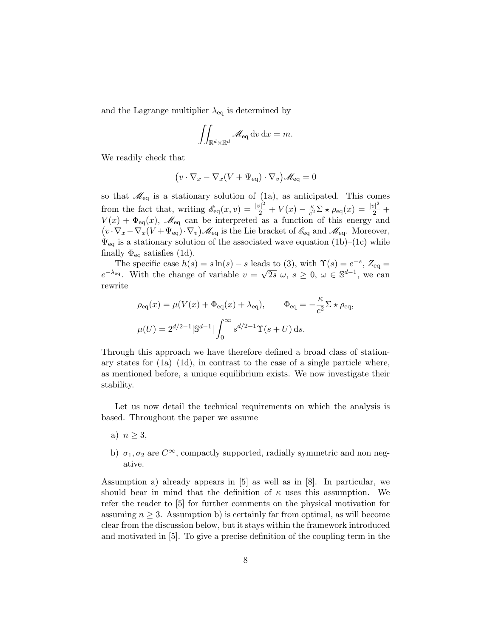and the Lagrange multiplier  $\lambda_{eq}$  is determined by

$$
\iint_{\mathbb{R}^d \times \mathbb{R}^d} \mathcal{M}_{\text{eq}} \, dv \, dx = m.
$$

We readily check that

$$
(v \cdot \nabla_x - \nabla_x (V + \Psi_{\text{eq}}) \cdot \nabla_v) \mathscr{M}_{\text{eq}} = 0
$$

so that  $\mathcal{M}_{eq}$  is a stationary solution of (1a), as anticipated. This comes from the fact that, writing  $\mathscr{E}_{eq}(x,v) = \frac{|v|^2}{2} + V(x) - \frac{\kappa}{c^2}$  $\frac{\kappa}{c^2} \Sigma \star \rho_{\text{eq}}(x) = \frac{|v|^2}{2} +$  $V(x) + \Phi_{\text{eq}}(x)$ ,  $\mathscr{M}_{\text{eq}}$  can be interpreted as a function of this energy and  $(v \cdot \nabla_x - \nabla_x (V + \Psi_{\text{eq}}) \cdot \nabla_v) \mathcal{M}_{\text{eq}}$  is the Lie bracket of  $\mathcal{E}_{\text{eq}}$  and  $\mathcal{M}_{\text{eq}}$ . Moreover,  $\Psi_{\text{eq}}$  is a stationary solution of the associated wave equation (1b)–(1c) while finally  $\Phi_{\text{eq}}$  satisfies (1d).

The specific case  $h(s) = s \ln(s) - s$  leads to (3), with  $\Upsilon(s) = e^{-s}$ ,  $Z_{\text{eq}} =$  $e^{-\lambda_{eq}}$ . With the change of variable  $v = \sqrt{2s} \omega$ ,  $s \geq 0$ ,  $\omega \in \mathbb{S}^{d-1}$ , we can rewrite

$$
\rho_{\text{eq}}(x) = \mu(V(x) + \Phi_{\text{eq}}(x) + \lambda_{\text{eq}}), \qquad \Phi_{\text{eq}} = -\frac{\kappa}{c^2} \Sigma \star \rho_{\text{eq}},
$$

$$
\mu(U) = 2^{d/2 - 1} |\mathbb{S}^{d-1}| \int_0^\infty s^{d/2 - 1} \Upsilon(s + U) \, \text{d}s.
$$

Through this approach we have therefore defined a broad class of stationary states for  $(1a)$ – $(1d)$ , in contrast to the case of a single particle where, as mentioned before, a unique equilibrium exists. We now investigate their stability.

Let us now detail the technical requirements on which the analysis is based. Throughout the paper we assume

- a)  $n > 3$ ,
- b)  $\sigma_1, \sigma_2$  are  $C^{\infty}$ , compactly supported, radially symmetric and non negative.

Assumption a) already appears in [5] as well as in [8]. In particular, we should bear in mind that the definition of  $\kappa$  uses this assumption. We refer the reader to [5] for further comments on the physical motivation for assuming  $n \geq 3$ . Assumption b) is certainly far from optimal, as will become clear from the discussion below, but it stays within the framework introduced and motivated in [5]. To give a precise definition of the coupling term in the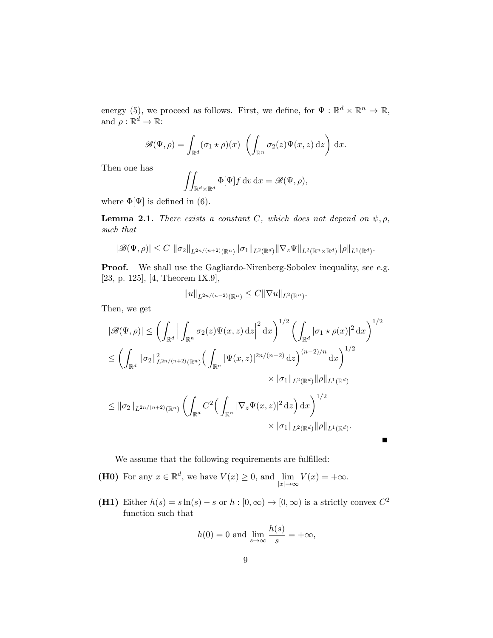energy (5), we proceed as follows. First, we define, for  $\Psi : \mathbb{R}^d \times \mathbb{R}^n \to \mathbb{R}$ , and  $\rho : \mathbb{R}^d \to \mathbb{R}$ :

$$
\mathscr{B}(\Psi,\rho) = \int_{\mathbb{R}^d} (\sigma_1 \star \rho)(x) \left( \int_{\mathbb{R}^n} \sigma_2(z) \Psi(x,z) \, \mathrm{d}z \right) \, \mathrm{d}x.
$$

Then one has

$$
\iint_{\mathbb{R}^d \times \mathbb{R}^d} \Phi[\Psi] f \, dv \, dx = \mathscr{B}(\Psi, \rho),
$$

where  $\Phi[\Psi]$  is defined in (6).

**Lemma 2.1.** There exists a constant C, which does not depend on  $\psi$ ,  $\rho$ , such that

$$
|\mathscr{B}(\Psi,\rho)| \leq C \, \|\sigma_2\|_{L^{2n/(n+2)}(\mathbb{R}^n)} \|\sigma_1\|_{L^2(\mathbb{R}^d)} \|\nabla_z \Psi\|_{L^2(\mathbb{R}^n \times \mathbb{R}^d)} \|\rho\|_{L^1(\mathbb{R}^d)}.
$$

Proof. We shall use the Gagliardo-Nirenberg-Sobolev inequality, see e.g. [23, p. 125], [4, Theorem IX.9],

$$
||u||_{L^{2n/(n-2)}(\mathbb{R}^n)} \leq C||\nabla u||_{L^2(\mathbb{R}^n)}.
$$

Then, we get

$$
|\mathcal{B}(\Psi,\rho)| \leq \left(\int_{\mathbb{R}^d} \Big| \int_{\mathbb{R}^n} \sigma_2(z) \Psi(x,z) \,dz \Big|^2 \,dx\right)^{1/2} \left(\int_{\mathbb{R}^d} |\sigma_1 \star \rho(x)|^2 \,dx\right)^{1/2}
$$
  

$$
\leq \left(\int_{\mathbb{R}^d} ||\sigma_2||^2_{L^{2n/(n+2)}(\mathbb{R}^n)} \left(\int_{\mathbb{R}^n} |\Psi(x,z)|^{2n/(n-2)} \,dz\right)^{(n-2)/n} \,dx\right)^{1/2}
$$

$$
\times ||\sigma_1||_{L^2(\mathbb{R}^d)} ||\rho||_{L^1(\mathbb{R}^d)}
$$

$$
\leq ||\sigma_2||_{L^{2n/(n+2)}(\mathbb{R}^n)} \left(\int_{\mathbb{R}^d} C^2 \left(\int_{\mathbb{R}^n} |\nabla_z \Psi(x,z)|^2 \,dz\right) \,dx\right)^{1/2}
$$

$$
\times ||\sigma_1||_{L^2(\mathbb{R}^d)} ||\rho||_{L^1(\mathbb{R}^d)}.
$$

We assume that the following requirements are fulfilled:

(H0) For any  $x \in \mathbb{R}^d$ , we have  $V(x) \geq 0$ , and  $\lim_{|x| \to \infty} V(x) = +\infty$ .

(H1) Either  $h(s) = s \ln(s) - s$  or  $h : [0, \infty) \to [0, \infty)$  is a strictly convex  $C^2$ function such that

$$
h(0) = 0 \text{ and } \lim_{s \to \infty} \frac{h(s)}{s} = +\infty,
$$

Г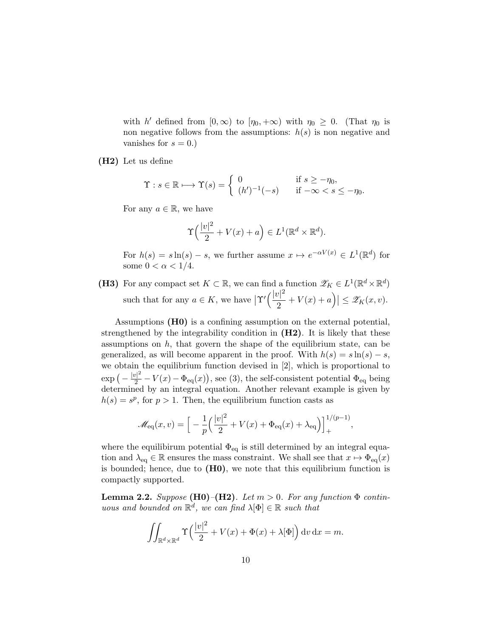with h' defined from  $[0, \infty)$  to  $[\eta_0, +\infty)$  with  $\eta_0 \geq 0$ . (That  $\eta_0$  is non negative follows from the assumptions:  $h(s)$  is non negative and vanishes for  $s = 0.$ )

(H2) Let us define

$$
\Upsilon : s \in \mathbb{R} \longmapsto \Upsilon(s) = \begin{cases} 0 & \text{if } s \ge -\eta_0, \\ (h')^{-1}(-s) & \text{if } -\infty < s \le -\eta_0. \end{cases}
$$

For any  $a \in \mathbb{R}$ , we have

$$
\Upsilon\left(\frac{|v|^2}{2} + V(x) + a\right) \in L^1(\mathbb{R}^d \times \mathbb{R}^d).
$$

For  $h(s) = s \ln(s) - s$ , we further assume  $x \mapsto e^{-\alpha V(x)} \in L^1(\mathbb{R}^d)$  for some  $0 < \alpha < 1/4$ .

(H3) For any compact set  $K \subset \mathbb{R}$ , we can find a function  $\mathscr{Z}_K \in L^1(\mathbb{R}^d \times \mathbb{R}^d)$ such that for any  $a \in K$ , we have  $\left|\Upsilon'\right|\left(\frac{|v|^2}{2}\right)$  $\left|\frac{y|^{2}}{2}+V(x)+a\right|\right|\leq\mathscr{Z}_{K}(x,v).$ 

Assumptions (H0) is a confining assumption on the external potential, strengthened by the integrability condition in  $(H2)$ . It is likely that these assumptions on  $h$ , that govern the shape of the equilibrium state, can be generalized, as will become apparent in the proof. With  $h(s) = s \ln(s) - s$ , we obtain the equilibrium function devised in [2], which is proportional to  $\exp\left(-\frac{|v|^2}{2} - V(x) - \Phi_{\text{eq}}(x)\right)$ , see (3), the self-consistent potential  $\Phi_{\text{eq}}$  being determined by an integral equation. Another relevant example is given by  $h(s) = s<sup>p</sup>$ , for  $p > 1$ . Then, the equilibrium function casts as

$$
\mathscr{M}_{\text{eq}}(x,v) = \Big[ -\frac{1}{p} \Big( \frac{|v|^2}{2} + V(x) + \Phi_{\text{eq}}(x) + \lambda_{\text{eq}} \Big) \Big]_+^{1/(p-1)},
$$

where the equilibirum potential  $\Phi_{\text{eq}}$  is still determined by an integral equation and  $\lambda_{eq} \in \mathbb{R}$  ensures the mass constraint. We shall see that  $x \mapsto \Phi_{eq}(x)$ is bounded; hence, due to  $(H0)$ , we note that this equilibrium function is compactly supported.

**Lemma 2.2.** Suppose (H0)–(H2). Let  $m > 0$ . For any function  $\Phi$  continuous and bounded on  $\mathbb{R}^d$ , we can find  $\lambda[\Phi] \in \mathbb{R}$  such that

$$
\iint_{\mathbb{R}^d \times \mathbb{R}^d} \Upsilon\left(\frac{|v|^2}{2} + V(x) + \Phi(x) + \lambda[\Phi]\right) dv dx = m.
$$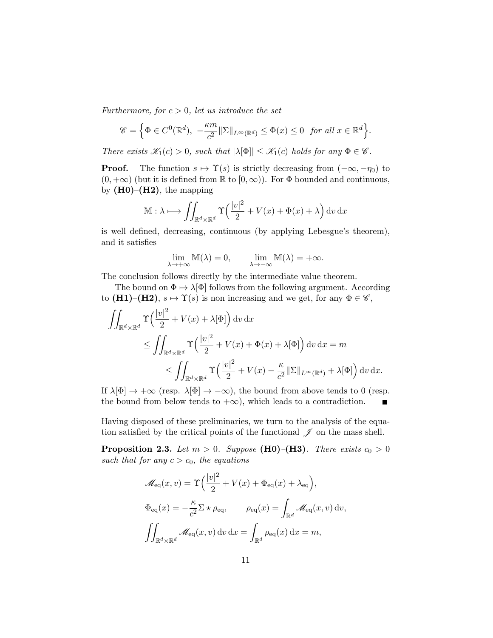Furthermore, for  $c > 0$ , let us introduce the set

$$
\mathscr{C} = \Big\{ \Phi \in C^0(\mathbb{R}^d), -\frac{\kappa m}{c^2} ||\Sigma||_{L^{\infty}(\mathbb{R}^d)} \leq \Phi(x) \leq 0 \text{ for all } x \in \mathbb{R}^d \Big\}.
$$

There exists  $\mathscr{K}_1(c) > 0$ , such that  $|\lambda[\Phi]| \leq \mathscr{K}_1(c)$  holds for any  $\Phi \in \mathscr{C}$ .

**Proof.** The function  $s \mapsto \Upsilon(s)$  is strictly decreasing from  $(-\infty, -\eta_0)$  to  $(0, +\infty)$  (but it is defined from  $\mathbb R$  to  $[0, \infty)$ ). For  $\Phi$  bounded and continuous, by  $(H0)$ – $(H2)$ , the mapping

$$
\mathbb{M}: \lambda \longmapsto \iint_{\mathbb{R}^d \times \mathbb{R}^d} \Upsilon\left(\frac{|v|^2}{2} + V(x) + \Phi(x) + \lambda\right) \mathrm{d}v \, \mathrm{d}x
$$

is well defined, decreasing, continuous (by applying Lebesgue's theorem), and it satisfies

$$
\lim_{\lambda \to +\infty} \mathbb{M}(\lambda) = 0, \qquad \lim_{\lambda \to -\infty} \mathbb{M}(\lambda) = +\infty.
$$

The conclusion follows directly by the intermediate value theorem.

The bound on  $\Phi \mapsto \lambda[\Phi]$  follows from the following argument. According to (H1)–(H2),  $s \mapsto \Upsilon(s)$  is non increasing and we get, for any  $\Phi \in \mathscr{C}$ ,

$$
\iint_{\mathbb{R}^d \times \mathbb{R}^d} \Upsilon\left(\frac{|v|^2}{2} + V(x) + \lambda[\Phi]\right) dv dx
$$
  
\n
$$
\leq \iint_{\mathbb{R}^d \times \mathbb{R}^d} \Upsilon\left(\frac{|v|^2}{2} + V(x) + \Phi(x) + \lambda[\Phi]\right) dv dx = m
$$
  
\n
$$
\leq \iint_{\mathbb{R}^d \times \mathbb{R}^d} \Upsilon\left(\frac{|v|^2}{2} + V(x) - \frac{\kappa}{c^2} \|\Sigma\|_{L^\infty(\mathbb{R}^d)} + \lambda[\Phi]\right) dv dx.
$$

If  $\lambda[\Phi] \to +\infty$  (resp.  $\lambda[\Phi] \to -\infty$ ), the bound from above tends to 0 (resp. the bound from below tends to  $+\infty$ , which leads to a contradiction.

Having disposed of these preliminaries, we turn to the analysis of the equation satisfied by the critical points of the functional  $\mathscr J$  on the mass shell.

**Proposition 2.3.** Let  $m > 0$ . Suppose (H0)–(H3). There exists  $c_0 > 0$ such that for any  $c > c_0$ , the equations

$$
\mathcal{M}_{\text{eq}}(x, v) = \Upsilon \left( \frac{|v|^2}{2} + V(x) + \Phi_{\text{eq}}(x) + \lambda_{\text{eq}} \right),
$$
  

$$
\Phi_{\text{eq}}(x) = -\frac{\kappa}{c^2} \Sigma \star \rho_{\text{eq}}, \qquad \rho_{\text{eq}}(x) = \int_{\mathbb{R}^d} \mathcal{M}_{\text{eq}}(x, v) dv,
$$
  

$$
\iint_{\mathbb{R}^d \times \mathbb{R}^d} \mathcal{M}_{\text{eq}}(x, v) dv dx = \int_{\mathbb{R}^d} \rho_{\text{eq}}(x) dx = m,
$$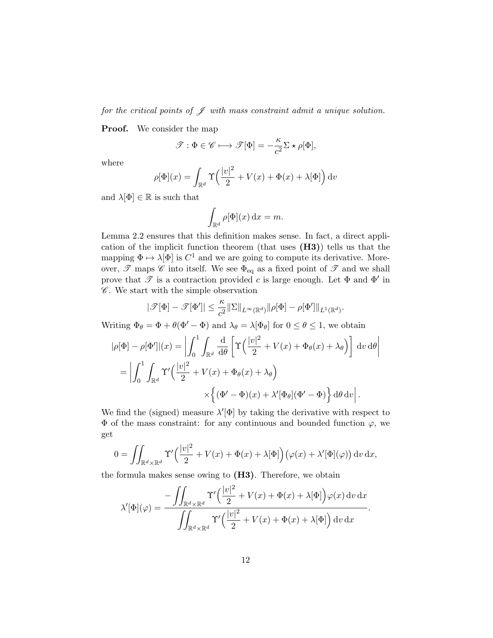for the critical points of  $\mathscr J$  with mass constraint admit a unique solution.

**Proof.** We consider the map

$$
\mathscr{T}:\Phi\in\mathscr{C}\longmapsto\mathscr{T}[\Phi]=-\frac{\kappa}{c^2}\Sigma\star\rho[\Phi],
$$

where

$$
\rho[\Phi](x) = \int_{\mathbb{R}^d} \Upsilon\left(\frac{|v|^2}{2} + V(x) + \Phi(x) + \lambda[\Phi]\right) \mathrm{d}v
$$

and  $\lambda[\Phi]\in\mathbb{R}$  is such that

$$
\int_{\mathbb{R}^d} \rho[\Phi](x) \, \mathrm{d}x = m.
$$

Lemma 2.2 ensures that this definition makes sense. In fact, a direct application of the implicit function theorem (that uses (H3)) tells us that the mapping  $\Phi \mapsto \lambda[\Phi]$  is  $C^1$  and we are going to compute its derivative. Moreover,  $\mathscr T$  maps  $\mathscr C$  into itself. We see  $\Phi_{\text{eq}}$  as a fixed point of  $\mathscr T$  and we shall prove that  $\mathscr T$  is a contraction provided c is large enough. Let  $\Phi$  and  $\Phi'$  in  $\mathscr C$ . We start with the simple observation

$$
|\mathscr{T}[\Phi] - \mathscr{T}[\Phi']| \leq \frac{\kappa}{c^2} \|\Sigma\|_{L^{\infty}(\mathbb{R}^d)} \|\rho[\Phi] - \rho[\Phi']\|_{L^1(\mathbb{R}^d)}.
$$

Writing  $\Phi_{\theta} = \Phi + \theta(\Phi' - \Phi)$  and  $\lambda_{\theta} = \lambda[\Phi_{\theta}]$  for  $0 \le \theta \le 1$ , we obtain

$$
|\rho[\Phi] - \rho[\Phi']|(x) = \left| \int_0^1 \int_{\mathbb{R}^d} \frac{d}{d\theta} \left[ \Upsilon \left( \frac{|v|^2}{2} + V(x) + \Phi_\theta(x) + \lambda_\theta \right) \right] dv d\theta \right|
$$
  
= 
$$
\left| \int_0^1 \int_{\mathbb{R}^d} \Upsilon' \left( \frac{|v|^2}{2} + V(x) + \Phi_\theta(x) + \lambda_\theta \right) \right|
$$

$$
\times \left\{ (\Phi' - \Phi)(x) + \lambda'[\Phi_\theta](\Phi' - \Phi) \right\} d\theta dv \right|.
$$

We find the (signed) measure  $\lambda'[\Phi]$  by taking the derivative with respect to  $\Phi$  of the mass constraint: for any continuous and bounded function  $\varphi$ , we get

$$
0 = \iint_{\mathbb{R}^d \times \mathbb{R}^d} \Upsilon' \left( \frac{|v|^2}{2} + V(x) + \Phi(x) + \lambda[\Phi] \right) (\varphi(x) + \lambda'[\Phi](\varphi)) dv dx,
$$

the formula makes sense owing to  $(H3)$ . Therefore, we obtain

$$
\lambda'[\Phi](\varphi) = \frac{-\iint_{\mathbb{R}^d \times \mathbb{R}^d} \Upsilon' \left(\frac{|v|^2}{2} + V(x) + \Phi(x) + \lambda[\Phi]\right) \varphi(x) \, dv \, dx}{\iint_{\mathbb{R}^d \times \mathbb{R}^d} \Upsilon' \left(\frac{|v|^2}{2} + V(x) + \Phi(x) + \lambda[\Phi]\right) dv \, dx}
$$

.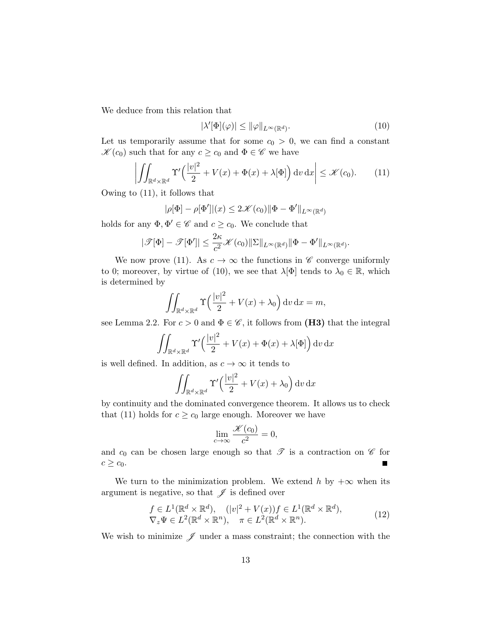We deduce from this relation that

$$
|\lambda'[\Phi](\varphi)| \le \|\varphi\|_{L^{\infty}(\mathbb{R}^d)}.
$$
\n(10)

Let us temporarily assume that for some  $c_0 > 0$ , we can find a constant  $\mathscr{K}(c_0)$  such that for any  $c \geq c_0$  and  $\Phi \in \mathscr{C}$  we have

$$
\left| \iint_{\mathbb{R}^d \times \mathbb{R}^d} \Upsilon' \left( \frac{|v|^2}{2} + V(x) + \Phi(x) + \lambda[\Phi] \right) dv \, dx \right| \le \mathcal{K}(c_0). \tag{11}
$$

Owing to (11), it follows that

$$
|\rho[\Phi] - \rho[\Phi']|(x) \le 2\mathcal{K}(c_0) \|\Phi - \Phi'\|_{L^{\infty}(\mathbb{R}^d)}
$$

holds for any  $\Phi, \Phi' \in \mathscr{C}$  and  $c \geq c_0$ . We conclude that

$$
|\mathcal{T}[\Phi] - \mathcal{T}[\Phi']| \leq \frac{2\kappa}{c^2} \mathcal{K}(c_0) \|\Sigma\|_{L^{\infty}(\mathbb{R}^d)} \|\Phi - \Phi'\|_{L^{\infty}(\mathbb{R}^d)}.
$$

We now prove (11). As  $c \to \infty$  the functions in  $\mathscr C$  converge uniformly to 0; moreover, by virtue of (10), we see that  $\lambda[\Phi]$  tends to  $\lambda_0 \in \mathbb{R}$ , which is determined by

$$
\iint_{\mathbb{R}^d \times \mathbb{R}^d} \Upsilon\left(\frac{|v|^2}{2} + V(x) + \lambda_0\right) \mathrm{d}v \, \mathrm{d}x = m,
$$

see Lemma 2.2. For  $c > 0$  and  $\Phi \in \mathscr{C}$ , it follows from (H3) that the integral

$$
\iint_{\mathbb{R}^d \times \mathbb{R}^d} \Upsilon' \left( \frac{|v|^2}{2} + V(x) + \Phi(x) + \lambda[\Phi] \right) dv dx
$$

is well defined. In addition, as  $c \to \infty$  it tends to

$$
\iint_{\mathbb{R}^d \times \mathbb{R}^d} \Upsilon' \left( \frac{|v|^2}{2} + V(x) + \lambda_0 \right) dv dx
$$

by continuity and the dominated convergence theorem. It allows us to check that (11) holds for  $c \geq c_0$  large enough. Moreover we have

$$
\lim_{c \to \infty} \frac{\mathscr{K}(c_0)}{c^2} = 0,
$$

and  $c_0$  can be chosen large enough so that  $\mathscr T$  is a contraction on  $\mathscr C$  for  $c \geq c_0$ .

We turn to the minimization problem. We extend h by  $+\infty$  when its argument is negative, so that  $\mathscr J$  is defined over

$$
f \in L^{1}(\mathbb{R}^{d} \times \mathbb{R}^{d}), \quad (|v|^{2} + V(x))f \in L^{1}(\mathbb{R}^{d} \times \mathbb{R}^{d}),
$$
  

$$
\nabla_{z} \Psi \in L^{2}(\mathbb{R}^{d} \times \mathbb{R}^{n}), \quad \pi \in L^{2}(\mathbb{R}^{d} \times \mathbb{R}^{n}).
$$
 (12)

We wish to minimize  $\mathscr J$  under a mass constraint; the connection with the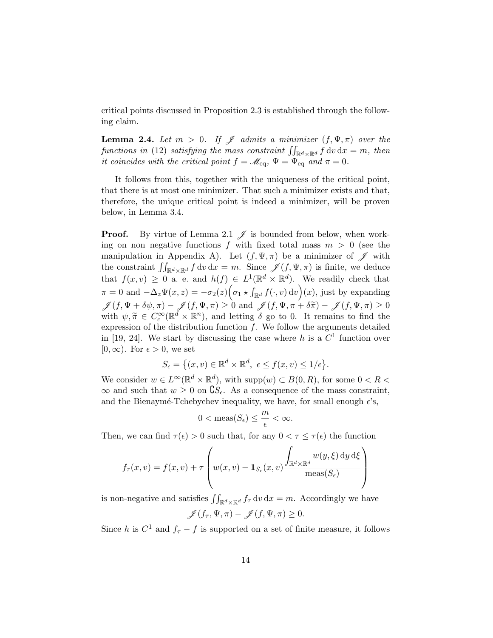critical points discussed in Proposition 2.3 is established through the following claim.

**Lemma 2.4.** Let  $m > 0$ . If  $\mathscr J$  admits a minimizer  $(f, \Psi, \pi)$  over the functions in (12) satisfying the mass constraint  $\iint_{\mathbb{R}^d \times \mathbb{R}^d} f \, \mathrm{d}v \, \mathrm{d}x = m$ , then it coincides with the critical point  $f = \mathcal{M}_{eq}$ ,  $\Psi = \Psi_{eq}$  and  $\pi = 0$ .

It follows from this, together with the uniqueness of the critical point, that there is at most one minimizer. That such a minimizer exists and that, therefore, the unique critical point is indeed a minimizer, will be proven below, in Lemma 3.4.

**Proof.** By virtue of Lemma 2.1  $\mathcal{J}$  is bounded from below, when working on non negative functions f with fixed total mass  $m > 0$  (see the manipulation in Appendix A). Let  $(f, \Psi, \pi)$  be a minimizer of  $\mathscr J$  with the constraint  $\iint_{\mathbb{R}^d \times \mathbb{R}^d} f \, dv \, dx = m$ . Since  $\mathscr{J}(f, \Psi, \pi)$  is finite, we deduce that  $f(x, v) \geq 0$  a. e. and  $h(f) \in L^1(\mathbb{R}^d \times \mathbb{R}^d)$ . We readily check that  $\pi = 0$  and  $-\Delta_z \Psi(x, z) = -\sigma_2(z) \Big( \sigma_1 \star \int_{\mathbb{R}^d} f(\cdot, v) dv \Big)(x)$ , just by expanding  $\mathscr{J}(f, \Psi+\delta \psi, \pi)-\mathscr{J}(f, \Psi, \pi)\geq 0 \text{ and } \mathscr{J}(f, \Psi, \pi+\delta \widetilde{\pi})-\mathscr{J}(f, \Psi, \pi)\geq 0$ with  $\psi, \tilde{\pi} \in C_c^{\infty}(\mathbb{R}^d \times \mathbb{R}^n)$ , and letting  $\delta$  go to 0. It remains to find the expression of the distribution function f. We follow the expression detailed expression of the distribution function  $f$ . We follow the arguments detailed in [19, 24]. We start by discussing the case where h is a  $C<sup>1</sup>$  function over  $[0, \infty)$ . For  $\epsilon > 0$ , we set

$$
S_{\epsilon} = \left\{ (x, v) \in \mathbb{R}^d \times \mathbb{R}^d, \ \epsilon \le f(x, v) \le 1/\epsilon \right\}.
$$

We consider  $w \in L^{\infty}(\mathbb{R}^d \times \mathbb{R}^d)$ , with  $\text{supp}(w) \subset B(0, R)$ , for some  $0 < R <$  $\infty$  and such that  $w \geq 0$  on  $\mathcal{S}_{\epsilon}$ . As a consequence of the mass constraint, and the Bienaymé-Tchebychev inequality, we have, for small enough  $\epsilon$ 's,

$$
0 < \operatorname{meas}(S_{\epsilon}) \le \frac{m}{\epsilon} < \infty.
$$

Then, we can find  $\tau(\epsilon) > 0$  such that, for any  $0 < \tau \leq \tau(\epsilon)$  the function

$$
f_{\tau}(x,v) = f(x,v) + \tau \left( w(x,v) - \mathbf{1}_{S_{\epsilon}}(x,v) \frac{\int_{\mathbb{R}^d \times \mathbb{R}^d} w(y,\xi) dy d\xi}{\text{meas}(S_{\epsilon})} \right)
$$

is non-negative and satisfies  $\iint_{\mathbb{R}^d \times \mathbb{R}^d} f_\tau \, dv \, dx = m$ . Accordingly we have

$$
\mathscr{J}(f_{\tau}, \Psi, \pi) - \mathscr{J}(f, \Psi, \pi) \geq 0.
$$

Since h is  $C^1$  and  $f_\tau - f$  is supported on a set of finite measure, it follows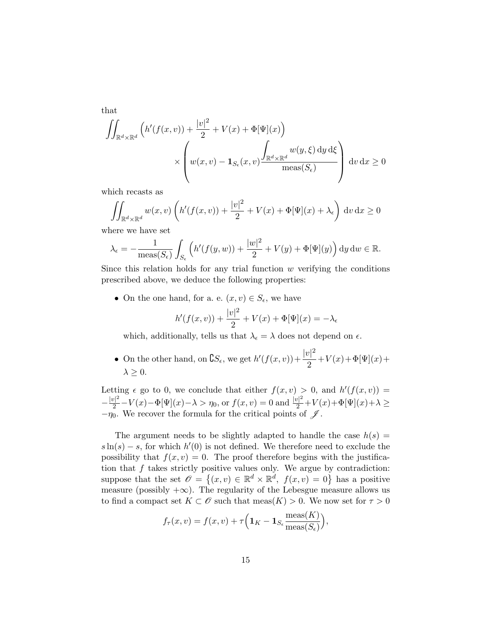that

$$
\iint_{\mathbb{R}^d \times \mathbb{R}^d} \left( h'(f(x, v)) + \frac{|v|^2}{2} + V(x) + \Phi[\Psi](x) \right) \times \left( w(x, v) - \mathbf{1}_{S_{\epsilon}}(x, v) \frac{\int_{\mathbb{R}^d \times \mathbb{R}^d} w(y, \xi) dy d\xi}{\text{meas}(S_{\epsilon})} \right) dv dx \ge 0
$$

which recasts as

$$
\iint_{\mathbb{R}^d \times \mathbb{R}^d} w(x, v) \left( h'(f(x, v)) + \frac{|v|^2}{2} + V(x) + \Phi[\Psi](x) + \lambda_{\epsilon} \right) dv dx \ge 0
$$

where we have set

$$
\lambda_{\epsilon} = -\frac{1}{\text{meas}(S_{\epsilon})} \int_{S_{\epsilon}} \left( h'(f(y, w)) + \frac{|w|^2}{2} + V(y) + \Phi[\Psi](y) \right) dy dw \in \mathbb{R}.
$$

Since this relation holds for any trial function  $w$  verifying the conditions prescribed above, we deduce the following properties:

• On the one hand, for a. e.  $(x, v) \in S_{\epsilon}$ , we have

$$
h'(f(x,v)) + \frac{|v|^2}{2} + V(x) + \Phi[\Psi](x) = -\lambda_{\epsilon}
$$

which, additionally, tells us that  $\lambda_{\epsilon} = \lambda$  does not depend on  $\epsilon$ .

• On the other hand, on  $\mathsf{C}S_{\epsilon}$ , we get  $h'(f(x,v)) + \frac{|v|^2}{2}$  $\frac{1}{2} + V(x) + \Phi[\Psi](x) +$  $\lambda \geq 0$ .

Letting  $\epsilon$  go to 0, we conclude that either  $f(x, v) > 0$ , and  $h'(f(x, v)) =$  $-\frac{|v|^2}{2} - V(x) - \Phi[\Psi](x) - \lambda > \eta_0$ , or  $f(x, v) = 0$  and  $\frac{|v|^2}{2} + V(x) + \Phi[\Psi](x) + \lambda \ge$  $-\eta_0$ . We recover the formula for the critical points of  $\mathscr{J}$ .

The argument needs to be slightly adapted to handle the case  $h(s)$  =  $s\ln(s) - s$ , for which  $h'(0)$  is not defined. We therefore need to exclude the possibility that  $f(x, v) = 0$ . The proof therefore begins with the justification that  $f$  takes strictly positive values only. We argue by contradiction: suppose that the set  $\mathscr{O} = \{(x, v) \in \mathbb{R}^d \times \mathbb{R}^d, f(x, v) = 0\}$  has a positive measure (possibly  $+\infty$ ). The regularity of the Lebesgue measure allows us to find a compact set  $K \subset \mathscr{O}$  such that  $meas(K) > 0$ . We now set for  $\tau > 0$ 

$$
f_{\tau}(x,v) = f(x,v) + \tau \Big( \mathbf{1}_K - \mathbf{1}_{S_{\epsilon}} \frac{\text{meas}(K)}{\text{meas}(S_{\epsilon})} \Big),
$$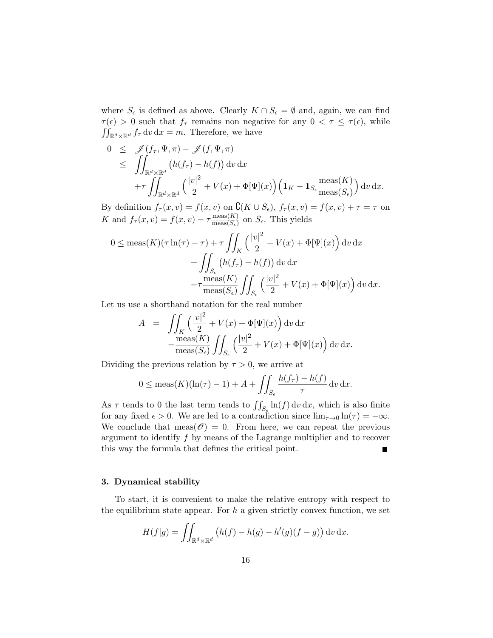where  $S_{\epsilon}$  is defined as above. Clearly  $K \cap S_{\epsilon} = \emptyset$  and, again, we can find  $\tau(\epsilon) > 0$  such that  $f_{\tau}$  remains non negative for any  $0 < \tau \leq \tau(\epsilon)$ , while  $\iint_{\mathbb{R}^d \times \mathbb{R}^d} f_\tau \, \mathrm{d}v \, \mathrm{d}x = m$ . Therefore, we have

$$
0 \leq \mathscr{J}(f_{\tau}, \Psi, \pi) - \mathscr{J}(f, \Psi, \pi)
$$
  
\n
$$
\leq \iint_{\mathbb{R}^d \times \mathbb{R}^d} (h(f_{\tau}) - h(f)) dv dx
$$
  
\n
$$
+ \tau \iint_{\mathbb{R}^d \times \mathbb{R}^d} \left( \frac{|v|^2}{2} + V(x) + \Phi[\Psi](x) \right) \left( \mathbf{1}_K - \mathbf{1}_{S_{\epsilon}} \frac{\text{meas}(K)}{\text{meas}(S_{\epsilon})} \right) dv dx.
$$

By definition  $f_{\tau}(x, v) = f(x, v)$  on  $\mathcal{C}(K \cup S_{\epsilon}), f_{\tau}(x, v) = f(x, v) + \tau = \tau$  on K and  $f_{\tau}(x, v) = f(x, v) - \tau \frac{\text{meas}(K)}{\text{meas}(S_{\tau})}$  $\frac{\text{meas}(K)}{\text{meas}(S_{\epsilon})}$  on  $S_{\epsilon}$ . This yields

$$
0 \leq \operatorname{meas}(K)(\tau \ln(\tau) - \tau) + \tau \iint_K \left( \frac{|v|^2}{2} + V(x) + \Phi[\Psi](x) \right) dv dx
$$

$$
+ \iint_{S_{\epsilon}} \left( h(f_{\tau}) - h(f) \right) dv dx
$$

$$
- \tau \frac{\operatorname{meas}(K)}{\operatorname{meas}(S_{\epsilon})} \iint_{S_{\epsilon}} \left( \frac{|v|^2}{2} + V(x) + \Phi[\Psi](x) \right) dv dx.
$$

Let us use a shorthand notation for the real number

$$
A = \iint_K \left(\frac{|v|^2}{2} + V(x) + \Phi[\Psi](x)\right) dv dx
$$

$$
-\frac{\text{meas}(K)}{\text{meas}(S_\epsilon)} \iint_{S_\epsilon} \left(\frac{|v|^2}{2} + V(x) + \Phi[\Psi](x)\right) dv dx.
$$

Dividing the previous relation by  $\tau > 0$ , we arrive at

$$
0 \leq \operatorname{meas}(K)(\ln(\tau) - 1) + A + \iint_{S_{\epsilon}} \frac{h(f_{\tau}) - h(f)}{\tau} dv dx.
$$

As  $\tau$  tends to 0 the last term tends to  $\iint_{S_{\epsilon}} \ln(f) dv dx$ , which is also finite for any fixed  $\epsilon > 0$ . We are led to a contradiction since  $\lim_{\tau \to 0} \ln(\tau) = -\infty$ . We conclude that meas( $\mathcal{O}$ ) = 0. From here, we can repeat the previous argument to identify f by means of the Lagrange multiplier and to recover this way the formula that defines the critical point.  $\blacksquare$ 

#### 3. Dynamical stability

To start, it is convenient to make the relative entropy with respect to the equilibrium state appear. For  $h$  a given strictly convex function, we set

$$
H(f|g) = \iint_{\mathbb{R}^d \times \mathbb{R}^d} \left( h(f) - h(g) - h'(g)(f - g) \right) \mathrm{d}v \, \mathrm{d}x.
$$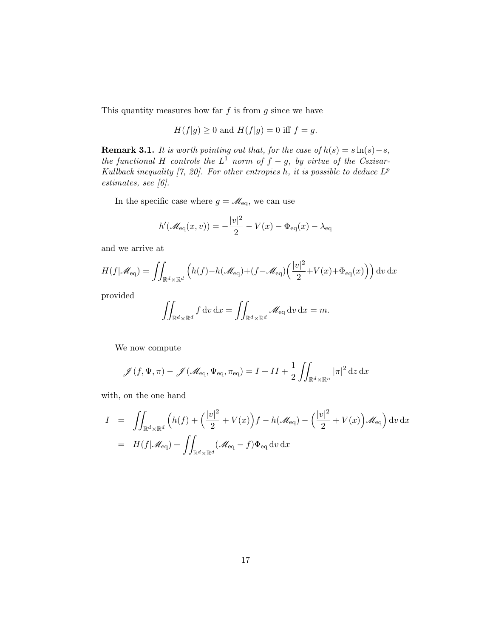This quantity measures how far  $f$  is from  $g$  since we have

$$
H(f|g) \ge 0
$$
 and 
$$
H(f|g) = 0
$$
 iff 
$$
f = g
$$
.

**Remark 3.1.** It is worth pointing out that, for the case of  $h(s) = s \ln(s) - s$ , the functional H controls the  $L^1$  norm of  $f - g$ , by virtue of the Cszisar-Kullback inequality  $[7, 20]$ . For other entropies h, it is possible to deduce  $L^p$ estimates, see [6].

In the specific case where  $g = \mathcal{M}_{\text{eq}}$ , we can use

$$
h'(\mathscr{M}_{\text{eq}}(x,v)) = -\frac{|v|^2}{2} - V(x) - \Phi_{\text{eq}}(x) - \lambda_{\text{eq}}
$$

and we arrive at

$$
H(f|\mathscr{M}_{\text{eq}}) = \iint_{\mathbb{R}^d \times \mathbb{R}^d} \left( h(f) - h(\mathscr{M}_{\text{eq}}) + (f - \mathscr{M}_{\text{eq}}) \left( \frac{|v|^2}{2} + V(x) + \Phi_{\text{eq}}(x) \right) \right) dv dx
$$

provided

$$
\iint_{\mathbb{R}^d \times \mathbb{R}^d} f \, dv \, dx = \iint_{\mathbb{R}^d \times \mathbb{R}^d} \mathcal{M}_{\text{eq}} \, dv \, dx = m.
$$

We now compute

$$
\mathscr{J}(f, \Psi, \pi) - \mathscr{J}(\mathscr{M}_{\text{eq}}, \Psi_{\text{eq}}, \pi_{\text{eq}}) = I + II + \frac{1}{2} \iint_{\mathbb{R}^d \times \mathbb{R}^n} |\pi|^2 \,dz \,dx
$$

with, on the one hand

$$
I = \iint_{\mathbb{R}^d \times \mathbb{R}^d} \left( h(f) + \left( \frac{|v|^2}{2} + V(x) \right) f - h(\mathcal{M}_{\text{eq}}) - \left( \frac{|v|^2}{2} + V(x) \right) \mathcal{M}_{\text{eq}} \right) dv dx
$$
  
=  $H(f|\mathcal{M}_{\text{eq}}) + \iint_{\mathbb{R}^d \times \mathbb{R}^d} (\mathcal{M}_{\text{eq}} - f) \Phi_{\text{eq}} dv dx$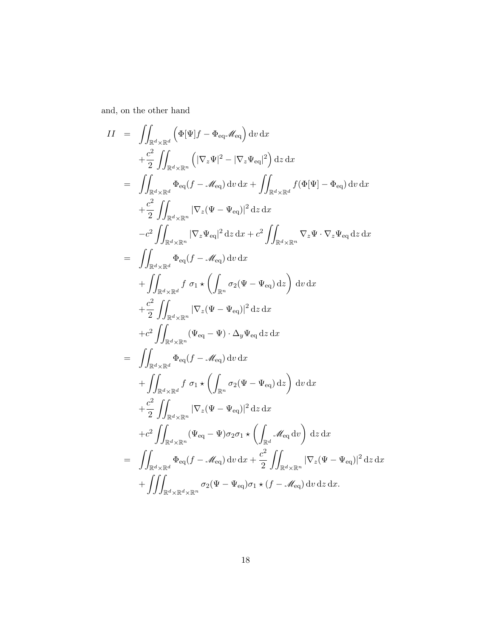and, on the other hand

$$
II = \iint_{\mathbb{R}^d \times \mathbb{R}^d} (\Phi[\Psi]f - \Phi_{eq} \mathscr{M}_{eq}) dv dx + \frac{c^2}{2} \iint_{\mathbb{R}^d \times \mathbb{R}^n} (|\nabla_z \Psi|^2 - |\nabla_z \Psi_{eq}|^2) dz dx = \iint_{\mathbb{R}^d \times \mathbb{R}^d} (\Phi[q - \mathscr{M}_{eq}) dv dx + \iint_{\mathbb{R}^d \times \mathbb{R}^d} f(\Phi[\Psi] - \Phi_{eq}) dv dx + \frac{c^2}{2} \iint_{\mathbb{R}^d \times \mathbb{R}^n} |\nabla_z (\Psi - \Psi_{eq})|^2 dz dx - c^2 \iint_{\mathbb{R}^d \times \mathbb{R}^n} |\nabla_z \Psi_{eq}|^2 dz dx + c^2 \iint_{\mathbb{R}^d \times \mathbb{R}^n} \nabla_z \Psi \cdot \nabla_z \Psi_{eq} dz dx = \iint_{\mathbb{R}^d \times \mathbb{R}^d} \Phi_{eq} (f - \mathscr{M}_{eq}) dv dx + \iint_{\mathbb{R}^d \times \mathbb{R}^d} f \sigma_1 \star \left( \int_{\mathbb{R}^n} \sigma_2 (\Psi - \Psi_{eq}) dz \right) dv dx + \frac{c^2}{2} \iint_{\mathbb{R}^d \times \mathbb{R}^n} |\nabla_z (\Psi - \Psi_{eq})|^2 dz dx + c^2 \iint_{\mathbb{R}^d \times \mathbb{R}^n} (\Psi_{eq} - \Psi) \cdot \Delta_y \Psi_{eq} dz dx = \iint_{\mathbb{R}^d \times \mathbb{R}^d} \Phi_{eq} (f - \mathscr{M}_{eq}) dv dx + \iint_{\mathbb{R}^d \times \mathbb{R}^d} f \sigma_1 \star \left( \int_{\mathbb{R}^n} \sigma_2 (\Psi - \Psi_{eq}) dz \right) dv dx + \frac{c^2}{2} \iint_{\mathbb{R}^d \times \mathbb{R}^n} |\nabla_z (\Psi - \Psi_{eq})|^2 dz dx + c^2 \iint_{\mathbb{R}^d \times \mathbb{R}^n} |\nabla_z (\Psi - \Psi_{eq})|^2 dz dx + c^2 \iint_{
$$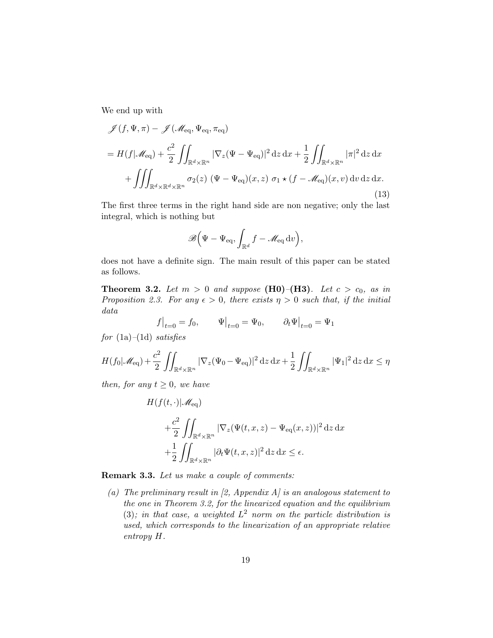We end up with

$$
\mathcal{J}(f, \Psi, \pi) - \mathcal{J}(\mathcal{M}_{\text{eq}}, \Psi_{\text{eq}}, \pi_{\text{eq}})
$$
  
=  $H(f|\mathcal{M}_{\text{eq}}) + \frac{c^2}{2} \iint_{\mathbb{R}^d \times \mathbb{R}^n} |\nabla_z (\Psi - \Psi_{\text{eq}})|^2 dz dx + \frac{1}{2} \iint_{\mathbb{R}^d \times \mathbb{R}^n} |\pi|^2 dz dx$   
+  $\iiint_{\mathbb{R}^d \times \mathbb{R}^d \times \mathbb{R}^n} \sigma_2(z) (\Psi - \Psi_{\text{eq}})(x, z) \sigma_1 \star (f - \mathcal{M}_{\text{eq}})(x, v) dv dz dx.$  (13)

The first three terms in the right hand side are non negative; only the last integral, which is nothing but

$$
\mathscr{B}(\Psi-\Psi_{\text{eq}},\int_{\mathbb{R}^d}f-\mathscr{M}_{\text{eq}}\,\mathrm{d} v),
$$

does not have a definite sign. The main result of this paper can be stated as follows.

**Theorem 3.2.** Let  $m > 0$  and suppose (H0)–(H3). Let  $c > c_0$ , as in Proposition 2.3. For any  $\epsilon > 0$ , there exists  $\eta > 0$  such that, if the initial data

$$
f\big|_{t=0}=f_0,\qquad \Psi\big|_{t=0}=\Psi_0,\qquad \partial_t\Psi\big|_{t=0}=\Psi_1
$$

for  $(1a)–(1d)$  satisfies

$$
H(f_0|\mathscr{M}_{\text{eq}}) + \frac{c^2}{2} \iint_{\mathbb{R}^d \times \mathbb{R}^n} |\nabla_z (\Psi_0 - \Psi_{\text{eq}})|^2 \, \mathrm{d}z \, \mathrm{d}x + \frac{1}{2} \iint_{\mathbb{R}^d \times \mathbb{R}^n} |\Psi_1|^2 \, \mathrm{d}z \, \mathrm{d}x \le \eta
$$

then, for any  $t \geq 0$ , we have

$$
H(f(t, \cdot)|\mathscr{M}_{\text{eq}})
$$
  
+ $\frac{c^2}{2} \iint_{\mathbb{R}^d \times \mathbb{R}^n} |\nabla_z (\Psi(t, x, z) - \Psi_{\text{eq}}(x, z))|^2 dz dx$   
+ $\frac{1}{2} \iint_{\mathbb{R}^d \times \mathbb{R}^n} |\partial_t \Psi(t, x, z)|^2 dz dx \le \epsilon.$ 

Remark 3.3. Let us make a couple of comments:

(a) The preliminary result in [2, Appendix A] is an analogous statement to the one in Theorem 3.2, for the linearized equation and the equilibrium (3); in that case, a weighted  $L^2$  norm on the particle distribution is used, which corresponds to the linearization of an appropriate relative entropy H.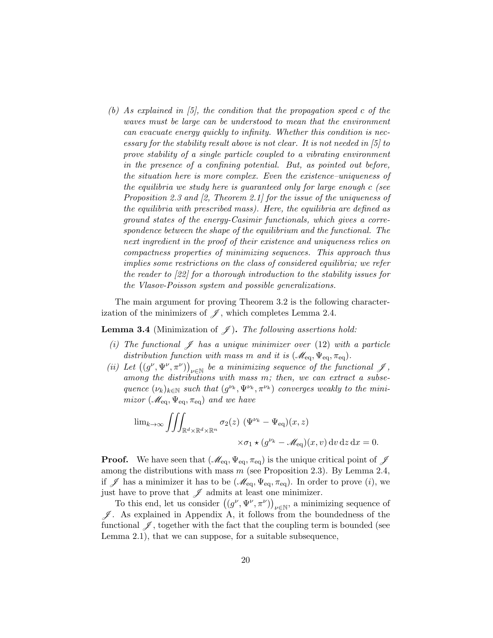(b) As explained in  $(5)$ , the condition that the propagation speed c of the waves must be large can be understood to mean that the environment can evacuate energy quickly to infinity. Whether this condition is necessary for the stability result above is not clear. It is not needed in [5] to prove stability of a single particle coupled to a vibrating environment in the presence of a confining potential. But, as pointed out before, the situation here is more complex. Even the existence–uniqueness of the equilibria we study here is guaranteed only for large enough c (see Proposition 2.3 and [2, Theorem 2.1] for the issue of the uniqueness of the equilibria with prescribed mass). Here, the equilibria are defined as ground states of the energy-Casimir functionals, which gives a correspondence between the shape of the equilibrium and the functional. The next ingredient in the proof of their existence and uniqueness relies on compactness properties of minimizing sequences. This approach thus implies some restrictions on the class of considered equilibria; we refer the reader to [22] for a thorough introduction to the stability issues for the Vlasov-Poisson system and possible generalizations.

The main argument for proving Theorem 3.2 is the following characterization of the minimizers of  $\mathscr{J}$ , which completes Lemma 2.4.

**Lemma 3.4** (Minimization of  $\mathscr{J}$ ). The following assertions hold:

- (i) The functional  $\mathscr J$  has a unique minimizer over (12) with a particle distribution function with mass m and it is  $(\mathcal{M}_{eq}, \Psi_{eq}, \pi_{eq})$ .
- (ii) Let  $((g^{\nu},\Psi^{\nu},\pi^{\nu}))_{\nu\in\mathbb{N}}$  be a minimizing sequence of the functional  $\mathscr{J}$ , among the distributions with mass m; then, we can extract a subsequence  $(\nu_k)_{k \in \mathbb{N}}$  such that  $(g^{\nu_k}, \Psi^{\nu_k}, \pi^{\nu_k})$  converges weakly to the minimizor  $(\mathscr{M}_{\text{eq}}, \Psi_{\text{eq}}, \pi_{\text{eq}})$  and we have

$$
\lim_{k \to \infty} \iiint_{\mathbb{R}^d \times \mathbb{R}^d \times \mathbb{R}^n} \sigma_2(z) \left( \Psi^{\nu_k} - \Psi_{\text{eq}} \right)(x, z) \times \sigma_1 \star (g^{\nu_k} - \mathcal{M}_{\text{eq}})(x, v) \, dv \, dz \, dx = 0.
$$

**Proof.** We have seen that  $(\mathcal{M}_{eq}, \Psi_{eq}, \pi_{eq})$  is the unique critical point of  $\mathcal{J}$ among the distributions with mass  $m$  (see Proposition 2.3). By Lemma 2.4, if  $\mathscr J$  has a minimizer it has to be  $(\mathscr M_{\text{eq}}, \Psi_{\text{eq}}, \pi_{\text{eq}})$ . In order to prove  $(i)$ , we just have to prove that  $\mathscr J$  admits at least one minimizer.

To this end, let us consider  $((g^{\nu}, \Psi^{\nu}, \pi^{\nu}))_{\nu \in \mathbb{N}}$ , a minimizing sequence of  $\mathscr{J}$ . As explained in Appendix A, it follows from the boundedness of the functional  $\mathscr{J}$ , together with the fact that the coupling term is bounded (see Lemma 2.1), that we can suppose, for a suitable subsequence,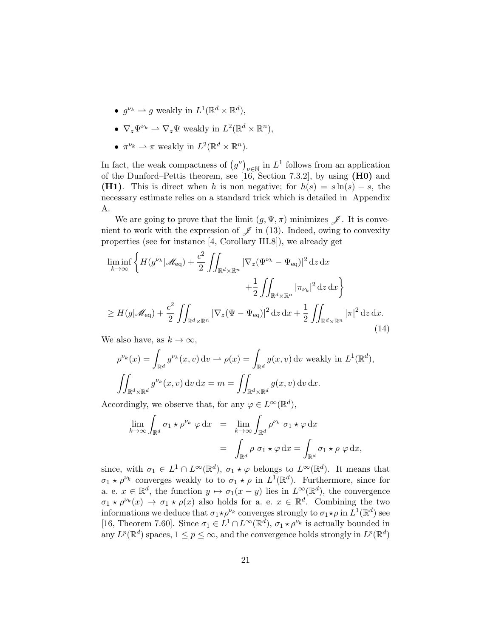- $g^{\nu_k} \rightharpoonup g$  weakly in  $L^1(\mathbb{R}^d \times \mathbb{R}^d)$ ,
- $\nabla_z \Psi^{\nu_k} \rightharpoonup \nabla_z \Psi$  weakly in  $L^2(\mathbb{R}^d \times \mathbb{R}^n)$ ,
- $\pi^{\nu_k} \rightharpoonup \pi$  weakly in  $L^2(\mathbb{R}^d \times \mathbb{R}^n)$ .

In fact, the weak compactness of  $(g^{\nu})_{\nu \in \mathbb{N}}$  in  $L^1$  follows from an application of the Dunford–Pettis theorem, see  $[16, Section 7.3.2]$ , by using  $(H0)$  and (H1). This is direct when h is non negative; for  $h(s) = s \ln(s) - s$ , the necessary estimate relies on a standard trick which is detailed in Appendix A.

We are going to prove that the limit  $(g, \Psi, \pi)$  minimizes  $\mathscr{J}$ . It is convenient to work with the expression of  $\mathscr{J}$  in (13). Indeed, owing to convexity properties (see for instance [4, Corollary III.8]), we already get

$$
\liminf_{k \to \infty} \left\{ H(g^{\nu_k} | \mathcal{M}_{\text{eq}}) + \frac{c^2}{2} \iint_{\mathbb{R}^d \times \mathbb{R}^n} |\nabla_z (\Psi^{\nu_k} - \Psi_{\text{eq}})|^2 \, dz \, dx \n+ \frac{1}{2} \iint_{\mathbb{R}^d \times \mathbb{R}^n} |\pi_{\nu_k}|^2 \, dz \, dx \right\} \n\ge H(g | \mathcal{M}_{\text{eq}}) + \frac{c^2}{2} \iint_{\mathbb{R}^d \times \mathbb{R}^n} |\nabla_z (\Psi - \Psi_{\text{eq}})|^2 \, dz \, dx + \frac{1}{2} \iint_{\mathbb{R}^d \times \mathbb{R}^n} |\pi|^2 \, dz \, dx.
$$
\n(14)

We also have, as  $k \to \infty$ ,

$$
\rho^{\nu_k}(x) = \int_{\mathbb{R}^d} g^{\nu_k}(x, v) dv \to \rho(x) = \int_{\mathbb{R}^d} g(x, v) dv \text{ weakly in } L^1(\mathbb{R}^d),
$$

$$
\iint_{\mathbb{R}^d \times \mathbb{R}^d} g^{\nu_k}(x, v) dv dx = m = \iint_{\mathbb{R}^d \times \mathbb{R}^d} g(x, v) dv dx.
$$

Accordingly, we observe that, for any  $\varphi \in L^{\infty}(\mathbb{R}^d)$ ,

$$
\lim_{k \to \infty} \int_{\mathbb{R}^d} \sigma_1 \star \rho^{\nu_k} \varphi \, dx = \lim_{k \to \infty} \int_{\mathbb{R}^d} \rho^{\nu_k} \sigma_1 \star \varphi \, dx
$$

$$
= \int_{\mathbb{R}^d} \rho \sigma_1 \star \varphi \, dx = \int_{\mathbb{R}^d} \sigma_1 \star \rho \varphi \, dx,
$$

since, with  $\sigma_1 \in L^1 \cap L^{\infty}(\mathbb{R}^d)$ ,  $\sigma_1 \star \varphi$  belongs to  $L^{\infty}(\mathbb{R}^d)$ . It means that  $\sigma_1 \star \rho^{\nu_k}$  converges weakly to to  $\sigma_1 \star \rho$  in  $L^1(\mathbb{R}^d)$ . Furthermore, since for a. e.  $x \in \mathbb{R}^d$ , the function  $y \mapsto \sigma_1(x-y)$  lies in  $L^{\infty}(\mathbb{R}^d)$ , the convergence  $\sigma_1 \star \rho^{\nu_k}(x) \to \sigma_1 \star \rho(x)$  also holds for a. e.  $x \in \mathbb{R}^d$ . Combining the two informations we deduce that  $\sigma_1 \star \rho^{\nu_k}$  converges strongly to  $\sigma_1 \star \rho$  in  $L^1(\mathbb{R}^d)$  see [16, Theorem 7.60]. Since  $\sigma_1 \in L^1 \cap L^\infty(\mathbb{R}^d)$ ,  $\sigma_1 \star \rho^{\nu_k}$  is actually bounded in any  $L^p(\mathbb{R}^d)$  spaces,  $1 \leq p \leq \infty$ , and the convergence holds strongly in  $L^p(\mathbb{R}^d)$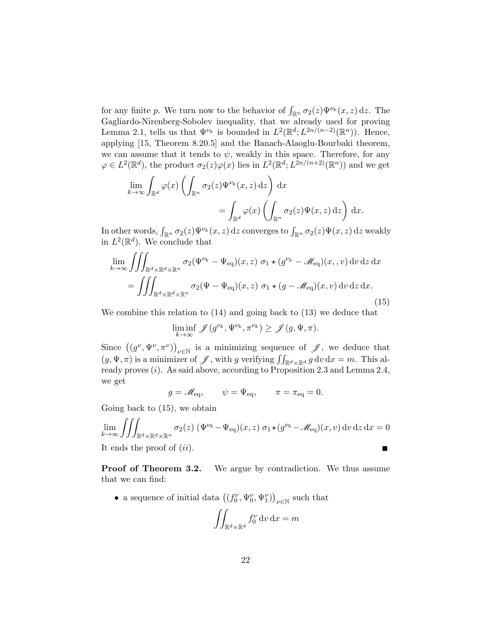for any finite p. We turn now to the behavior of  $\int_{\mathbb{R}^n} \sigma_2(z) \Psi^{\nu_k}(x, z) dz$ . The Gagliardo-Nirenberg-Sobolev inequality, that we already used for proving Lemma 2.1, tells us that  $\Psi^{\nu_k}$  is bounded in  $L^2(\mathbb{R}^d; L^{2n/(n-2)}(\mathbb{R}^n))$ . Hence, applying [15, Theorem 8.20.5] and the Banach-Alaoglu-Bourbaki theorem, we can assume that it tends to  $\psi$ , weakly in this space. Therefore, for any  $\varphi \in L^2(\mathbb{R}^d)$ , the product  $\sigma_2(z)\varphi(x)$  lies in  $L^2(\mathbb{R}^d; L^{2n/(n+2)}(\mathbb{R}^n))$  and we get

$$
\lim_{k \to \infty} \int_{\mathbb{R}^d} \varphi(x) \left( \int_{\mathbb{R}^n} \sigma_2(z) \Psi^{\nu_k}(x, z) dz \right) dx
$$
  
= 
$$
\int_{\mathbb{R}^d} \varphi(x) \left( \int_{\mathbb{R}^n} \sigma_2(z) \Psi(x, z) dz \right) dx.
$$

In other words,  $\int_{\mathbb{R}^n} \sigma_2(z) \Psi^{\nu_k}(x, z) dz$  converges to  $\int_{\mathbb{R}^n} \sigma_2(z) \Psi(x, z) dz$  weakly in  $L^2(\mathbb{R}^d)$ . We conclude that

$$
\lim_{k \to \infty} \iiint_{\mathbb{R}^d \times \mathbb{R}^d \times \mathbb{R}^n} \sigma_2(\Psi^{\nu_k} - \Psi_{\text{eq}})(x, z) \sigma_1 \star (g^{\nu_k} - \mathcal{M}_{\text{eq}})(x, v) dv dz dx
$$
  
= 
$$
\iiint_{\mathbb{R}^d \times \mathbb{R}^d \times \mathbb{R}^n} \sigma_2(\Psi - \Psi_{\text{eq}})(x, z) \sigma_1 \star (g - \mathcal{M}_{\text{eq}})(x, v) dv dz dx.
$$
 (15)

We combine this relation to (14) and going back to (13) we deduce that

$$
\liminf_{k \to \infty} \mathscr{J}(g^{\nu_k}, \Psi^{\nu_k}, \pi^{\nu_k}) \geq \mathscr{J}(g, \Psi, \pi).
$$

Since  $((g^{\nu}, \Psi^{\nu}, \pi^{\nu}))_{\nu \in \mathbb{N}}$  is a minimizing sequence of  $\mathscr{J}$ , we deduce that  $(g, \Psi, \pi)$  is a minimizer of  $\mathscr{J}$ , with g verifying  $\iint_{\mathbb{R}^d \times \mathbb{R}^d} g \, dv \, dx = m$ . This already proves  $(i)$ . As said above, according to Proposition 2.3 and Lemma 2.4, we get

$$
g = \mathcal{M}_{\text{eq}}, \qquad \psi = \Psi_{\text{eq}}, \qquad \pi = \pi_{\text{eq}} = 0.
$$

Going back to (15), we obtain

$$
\lim_{k \to \infty} \iiint_{\mathbb{R}^d \times \mathbb{R}^d \times \mathbb{R}^n} \sigma_2(z) \left( \Psi^{\nu_k} - \Psi_{\text{eq}} \right)(x, z) \, \sigma_1 \star (g^{\nu_k} - \mathcal{M}_{\text{eq}})(x, v) \, dv \, dz \, dx = 0
$$
\nIt ends the proof of *(ii)*.

**Proof of Theorem 3.2.** We argue by contradiction. We thus assume that we can find:

• a sequence of initial data  $((f_0^{\nu}, \Psi_0^{\nu}, \Psi_1^{\nu}))_{\nu \in \mathbb{N}}$  such that

$$
\iint_{\mathbb{R}^d \times \mathbb{R}^d} f_0^{\nu} \, \mathrm{d}v \, \mathrm{d}x = m
$$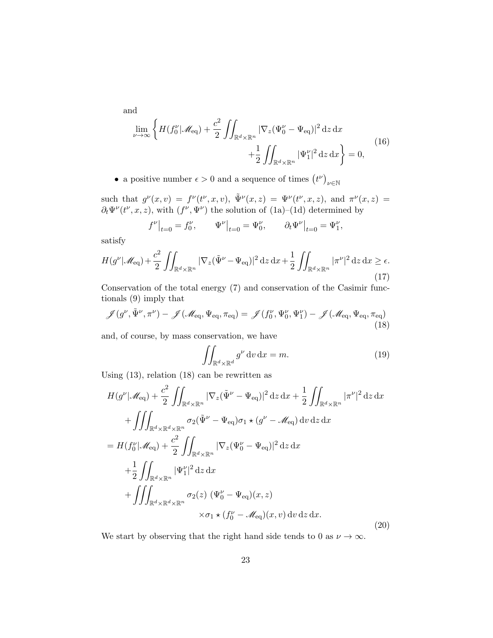and

$$
\lim_{\nu \to \infty} \left\{ H(f_0^{\nu} | \mathcal{M}_{\text{eq}}) + \frac{c^2}{2} \iint_{\mathbb{R}^d \times \mathbb{R}^n} |\nabla_z (\Psi_0^{\nu} - \Psi_{\text{eq}})|^2 \, dz \, dx + \frac{1}{2} \iint_{\mathbb{R}^d \times \mathbb{R}^n} |\Psi_1^{\nu}|^2 \, dz \, dx \right\} = 0,
$$
\n(16)

• a positive number  $\epsilon > 0$  and a sequence of times  $(t^{\nu})_{\nu \in \mathbb{N}}$ 

such that  $g^{\nu}(x,v) = f^{\nu}(t^{\nu},x,v), \ \tilde{\Psi}^{\nu}(x,z) = \Psi^{\nu}(t^{\nu},x,z),$  and  $\pi^{\nu}(x,z) =$  $\partial_t \Psi^{\nu}(t^{\nu}, x, z)$ , with  $(f^{\nu}, \Psi^{\nu})$  the solution of  $(1a)$ – $(1d)$  determined by

$$
f^{\nu}|_{t=0} = f_0^{\nu}, \qquad \Psi^{\nu}|_{t=0} = \Psi_0^{\nu}, \qquad \partial_t \Psi^{\nu}|_{t=0} = \Psi_1^{\nu},
$$

satisfy

$$
H(g^{\nu}|\mathscr{M}_{\text{eq}}) + \frac{c^2}{2} \iint_{\mathbb{R}^d \times \mathbb{R}^n} |\nabla_z(\tilde{\Psi}^{\nu} - \Psi_{\text{eq}})|^2 \,dz \,dx + \frac{1}{2} \iint_{\mathbb{R}^d \times \mathbb{R}^n} |\pi^{\nu}|^2 \,dz \,dx \ge \epsilon.
$$
\n(17)

Conservation of the total energy (7) and conservation of the Casimir functionals (9) imply that

$$
\mathscr{J}(g^{\nu}, \tilde{\Psi}^{\nu}, \pi^{\nu}) - \mathscr{J}(\mathscr{M}_{\text{eq}}, \Psi_{\text{eq}}, \pi_{\text{eq}}) = \mathscr{J}(f_0^{\nu}, \Psi_0^{\nu}, \Psi_1^{\nu}) - \mathscr{J}(\mathscr{M}_{\text{eq}}, \Psi_{\text{eq}}, \pi_{\text{eq}})
$$
\n(18)

and, of course, by mass conservation, we have

$$
\iint_{\mathbb{R}^d \times \mathbb{R}^d} g^{\nu} dv dx = m.
$$
 (19)

Using (13), relation (18) can be rewritten as

$$
H(g^{\nu}|\mathscr{M}_{\text{eq}}) + \frac{c^2}{2} \iint_{\mathbb{R}^d \times \mathbb{R}^n} |\nabla_z (\tilde{\Psi}^{\nu} - \Psi_{\text{eq}})|^2 \, dz \, dx + \frac{1}{2} \iint_{\mathbb{R}^d \times \mathbb{R}^n} |\pi^{\nu}|^2 \, dz \, dx + \iiint_{\mathbb{R}^d \times \mathbb{R}^d \times \mathbb{R}^n} \sigma_2 (\tilde{\Psi}^{\nu} - \Psi_{\text{eq}}) \sigma_1 \star (g^{\nu} - \mathscr{M}_{\text{eq}}) \, dv \, dz \, dx = H(f_0^{\nu}|\mathscr{M}_{\text{eq}}) + \frac{c^2}{2} \iint_{\mathbb{R}^d \times \mathbb{R}^n} |\nabla_z (\Psi_0^{\nu} - \Psi_{\text{eq}})|^2 \, dz \, dx + \frac{1}{2} \iint_{\mathbb{R}^d \times \mathbb{R}^n} |\Psi_1^{\nu}|^2 \, dz \, dx + \iiint_{\mathbb{R}^d \times \mathbb{R}^d \times \mathbb{R}^n} \sigma_2(z) \, (\Psi_0^{\nu} - \Psi_{\text{eq}})(x, z) \times \sigma_1 \star (f_0^{\nu} - \mathscr{M}_{\text{eq}})(x, v) \, dv \, dz \, dx.
$$
 (20)

We start by observing that the right hand side tends to 0 as  $\nu \to \infty$ .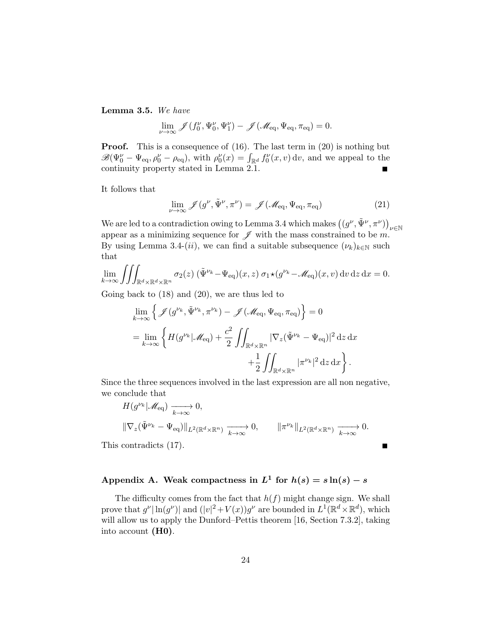Lemma 3.5. We have

$$
\lim_{\nu\to\infty}\mathscr{J}(f_0^{\nu},\Psi_0^{\nu},\Psi_1^{\nu})-\mathscr{J}(\mathscr{M}_{\mathrm{eq}},\Psi_{\mathrm{eq}},\pi_{\mathrm{eq}})=0.
$$

**Proof.** This is a consequence of (16). The last term in (20) is nothing but  $\mathscr{B}(\Psi_0^{\nu}-\Psi_{\text{eq}},\rho_0^{\nu}-\rho_{\text{eq}}),$  with  $\rho_0^{\nu}(x)=\int_{\mathbb{R}^d}f_0^{\nu}(x,v)\,\mathrm{d}v$ , and we appeal to the continuity property stated in Lemma 2.1.  $\blacksquare$ 

It follows that

$$
\lim_{\nu \to \infty} \mathcal{J}(g^{\nu}, \tilde{\Psi}^{\nu}, \pi^{\nu}) = \mathcal{J}(\mathcal{M}_{\text{eq}}, \Psi_{\text{eq}}, \pi_{\text{eq}})
$$
\n(21)

We are led to a contradiction owing to Lemma 3.4 which makes  $\big((g^\nu,\tilde\Psi^\nu,\pi^\nu)\big)_{\nu\in\mathbb N}$ appear as a minimizing sequence for  $\mathscr J$  with the mass constrained to be m. By using Lemma 3.4-(ii), we can find a suitable subsequence  $(\nu_k)_{k\in\mathbb{N}}$  such that

$$
\lim_{k \to \infty} \iiint_{\mathbb{R}^d \times \mathbb{R}^d \times \mathbb{R}^n} \sigma_2(z) \left( \tilde{\Psi}^{\nu_k} - \Psi_{\text{eq}} \right)(x, z) \, \sigma_1 \star (g^{\nu_k} - \mathscr{M}_{\text{eq}})(x, v) \, \mathrm{d}v \, \mathrm{d}z \, \mathrm{d}x = 0.
$$

Going back to (18) and (20), we are thus led to

$$
\lim_{k \to \infty} \left\{ \mathcal{J}(g^{\nu_k}, \tilde{\Psi}^{\nu_k}, \pi^{\nu_k}) - \mathcal{J}(\mathcal{M}_{\text{eq}}, \Psi_{\text{eq}}, \pi_{\text{eq}}) \right\} = 0
$$
\n
$$
= \lim_{k \to \infty} \left\{ H(g^{\nu_k} | \mathcal{M}_{\text{eq}}) + \frac{c^2}{2} \iint_{\mathbb{R}^d \times \mathbb{R}^n} |\nabla_z (\tilde{\Psi}^{\nu_k} - \Psi_{\text{eq}})|^2 \, \mathrm{d}z \, \mathrm{d}x + \frac{1}{2} \iint_{\mathbb{R}^d \times \mathbb{R}^n} |\pi^{\nu_k}|^2 \, \mathrm{d}z \, \mathrm{d}x \right\}.
$$

Since the three sequences involved in the last expression are all non negative, we conclude that

$$
H(g^{\nu_k}|\mathscr{M}_{\text{eq}}) \xrightarrow[k \to \infty]{} 0,
$$
  

$$
\|\nabla_z(\tilde{\Psi}^{\nu_k} - \Psi_{\text{eq}})\|_{L^2(\mathbb{R}^d \times \mathbb{R}^n)} \xrightarrow[k \to \infty]{} 0, \qquad \|\pi^{\nu_k}\|_{L^2(\mathbb{R}^d \times \mathbb{R}^n)} \xrightarrow[k \to \infty]{} 0.
$$

П

This contradicts (17).

# Appendix A. Weak compactness in  $L^1$  for  $h(s) = s \ln(s) - s$

The difficulty comes from the fact that  $h(f)$  might change sign. We shall prove that  $g^{\nu}|\ln(g^{\nu})|$  and  $(|v|^2+V(x))g^{\nu}$  are bounded in  $L^1(\mathbb{R}^d\times\mathbb{R}^d)$ , which will allow us to apply the Dunford–Pettis theorem [16, Section 7.3.2], taking into account (H0).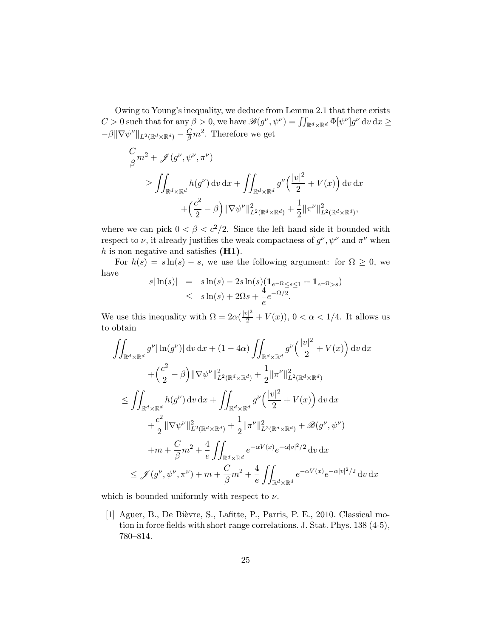Owing to Young's inequality, we deduce from Lemma 2.1 that there exists  $C > 0$  such that for any  $\beta > 0$ , we have  $\mathscr{B}(g^{\nu}, \psi^{\nu}) = \iint_{\mathbb{R}^d \times \mathbb{R}^d} \Phi[\psi^{\nu}] g^{\nu} dv dx \geq$  $-\beta \|\nabla \psi^{\nu}\|_{L^2(\mathbb{R}^d \times \mathbb{R}^d)} - \frac{C}{\beta}m^2$ . Therefore we get

$$
\frac{C}{\beta}m^2 + \mathscr{J}(g^{\nu}, \psi^{\nu}, \pi^{\nu})
$$
\n
$$
\geq \iint_{\mathbb{R}^d \times \mathbb{R}^d} h(g^{\nu}) dv dx + \iint_{\mathbb{R}^d \times \mathbb{R}^d} g^{\nu} \left( \frac{|v|^2}{2} + V(x) \right) dv dx
$$
\n
$$
+ \left( \frac{c^2}{2} - \beta \right) ||\nabla \psi^{\nu}||_{L^2(\mathbb{R}^d \times \mathbb{R}^d)}^2 + \frac{1}{2} ||\pi^{\nu}||_{L^2(\mathbb{R}^d \times \mathbb{R}^d)}^2,
$$

where we can pick  $0 < \beta < c^2/2$ . Since the left hand side it bounded with respect to  $\nu$ , it already justifies the weak compactness of  $g^{\nu}, \psi^{\nu}$  and  $\pi^{\nu}$  when  $h$  is non negative and satisfies  $(H1)$ .

For  $h(s) = s \ln(s) - s$ , we use the following argument: for  $\Omega \geq 0$ , we have

$$
s|\ln(s)| = s\ln(s) - 2s\ln(s)(\mathbf{1}_{e^{-\Omega} \le s \le 1} + \mathbf{1}_{e^{-\Omega} > s})
$$
  
 
$$
\le s\ln(s) + 2\Omega s + \frac{4}{e}e^{-\Omega/2}.
$$

We use this inequality with  $\Omega = 2\alpha(\frac{|v|^2}{2} + V(x))$ ,  $0 < \alpha < 1/4$ . It allows us to obtain

$$
\iint_{\mathbb{R}^d \times \mathbb{R}^d} g^{\nu} |\ln(g^{\nu})| dv dx + (1 - 4\alpha) \iint_{\mathbb{R}^d \times \mathbb{R}^d} g^{\nu} \left( \frac{|v|^2}{2} + V(x) \right) dv dx
$$
  
+ 
$$
\left( \frac{c^2}{2} - \beta \right) ||\nabla \psi^{\nu}||_{L^2(\mathbb{R}^d \times \mathbb{R}^d)}^2 + \frac{1}{2} ||\pi^{\nu}||_{L^2(\mathbb{R}^d \times \mathbb{R}^d)}^2
$$
  

$$
\leq \iint_{\mathbb{R}^d \times \mathbb{R}^d} h(g^{\nu}) dv dx + \iint_{\mathbb{R}^d \times \mathbb{R}^d} g^{\nu} \left( \frac{|v|^2}{2} + V(x) \right) dv dx
$$
  
+ 
$$
\frac{c^2}{2} ||\nabla \psi^{\nu}||_{L^2(\mathbb{R}^d \times \mathbb{R}^d)}^2 + \frac{1}{2} ||\pi^{\nu}||_{L^2(\mathbb{R}^d \times \mathbb{R}^d)}^2 + \mathcal{B}(g^{\nu}, \psi^{\nu})
$$
  
+ 
$$
m + \frac{C}{\beta} m^2 + \frac{4}{e} \iint_{\mathbb{R}^d \times \mathbb{R}^d} e^{-\alpha V(x)} e^{-\alpha |v|^2/2} dv dx
$$
  

$$
\leq \mathcal{J}(g^{\nu}, \psi^{\nu}, \pi^{\nu}) + m + \frac{C}{\beta} m^2 + \frac{4}{e} \iint_{\mathbb{R}^d \times \mathbb{R}^d} e^{-\alpha V(x)} e^{-\alpha |v|^2/2} dv dx
$$

which is bounded uniformly with respect to  $\nu$ .

[1] Aguer, B., De Bièvre, S., Lafitte, P., Parris, P. E., 2010. Classical motion in force fields with short range correlations. J. Stat. Phys. 138 (4-5), 780–814.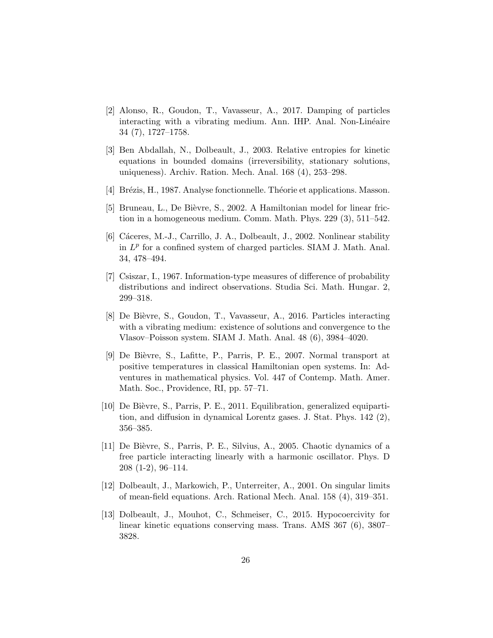- [2] Alonso, R., Goudon, T., Vavasseur, A., 2017. Damping of particles interacting with a vibrating medium. Ann. IHP. Anal. Non-Linéaire 34 (7), 1727–1758.
- [3] Ben Abdallah, N., Dolbeault, J., 2003. Relative entropies for kinetic equations in bounded domains (irreversibility, stationary solutions, uniqueness). Archiv. Ration. Mech. Anal. 168 (4), 253–298.
- [4] Brézis, H., 1987. Analyse fonctionnelle. Théorie et applications. Masson.
- [5] Bruneau, L., De Bièvre, S., 2002. A Hamiltonian model for linear friction in a homogeneous medium. Comm. Math. Phys. 229 (3), 511–542.
- [6] Cáceres, M.-J., Carrillo, J. A., Dolbeault, J., 2002. Nonlinear stability in  $L^p$  for a confined system of charged particles. SIAM J. Math. Anal. 34, 478–494.
- [7] Csiszar, I., 1967. Information-type measures of difference of probability distributions and indirect observations. Studia Sci. Math. Hungar. 2, 299–318.
- [8] De Bi`evre, S., Goudon, T., Vavasseur, A., 2016. Particles interacting with a vibrating medium: existence of solutions and convergence to the Vlasov–Poisson system. SIAM J. Math. Anal. 48 (6), 3984–4020.
- [9] De Bièvre, S., Lafitte, P., Parris, P. E., 2007. Normal transport at positive temperatures in classical Hamiltonian open systems. In: Adventures in mathematical physics. Vol. 447 of Contemp. Math. Amer. Math. Soc., Providence, RI, pp. 57–71.
- [10] De Bi`evre, S., Parris, P. E., 2011. Equilibration, generalized equipartition, and diffusion in dynamical Lorentz gases. J. Stat. Phys. 142 (2), 356–385.
- [11] De Bièvre, S., Parris, P. E., Silvius, A., 2005. Chaotic dynamics of a free particle interacting linearly with a harmonic oscillator. Phys. D 208 (1-2), 96–114.
- [12] Dolbeault, J., Markowich, P., Unterreiter, A., 2001. On singular limits of mean-field equations. Arch. Rational Mech. Anal. 158 (4), 319–351.
- [13] Dolbeault, J., Mouhot, C., Schmeiser, C., 2015. Hypocoercivity for linear kinetic equations conserving mass. Trans. AMS 367 (6), 3807– 3828.